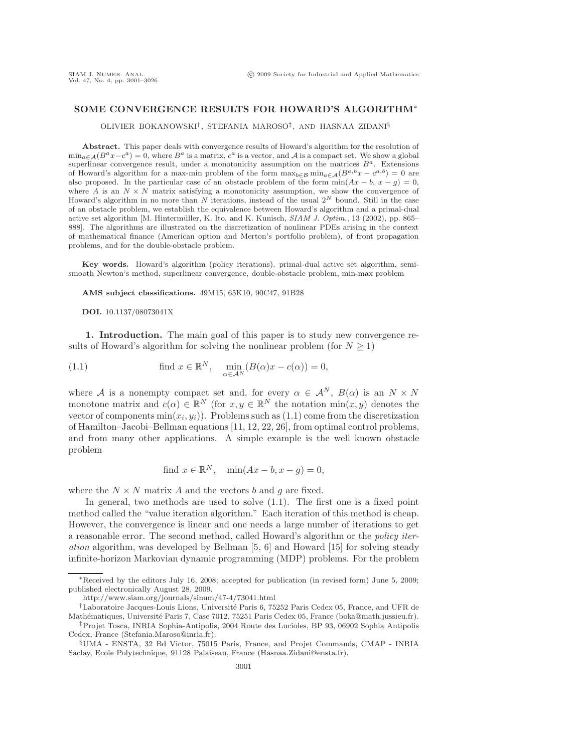# **SOME CONVERGENCE RESULTS FOR HOWARD'S ALGORITHM**∗

OLIVIER BOKANOWSKI† , STEFANIA MAROSO‡, AND HASNAA ZIDANI§

**Abstract.** This paper deals with convergence results of Howard's algorithm for the resolution of  $\min_{a \in \mathcal{A}} (B^a x - c^a) = 0$ , where  $B^a$  is a matrix,  $c^a$  is a vector, and A is a compact set. We show a global superlinear convergence result, under a monotonicity assumption on the matrices  $B^a$ . Extensions of Howard's algorithm for a max-min problem of the form  $\max_{b \in \mathcal{B}} \min_{a \in \mathcal{A}} (B^{a,b}x - c^{a,b}) = 0$  are also proposed. In the particular case of an obstacle problem of the form  $min(Ax - b, x - g) = 0$ , where A is an  $N \times N$  matrix satisfying a monotonicity assumption, we show the convergence of where A is an  $N \times N$  matrix satisfying a monotonicity assumption, we show the convergence of Hoursel's algorithm in no more than N iterations instead of the usual  $2^N$  bound. Still in the case Howard's algorithm in no more than N iterations, instead of the usual  $2^N$  bound. Still in the case<br>of an obstacle problem, we establish the equivalence between Howard's algorithm and a primal-dual of an obstacle problem, we establish the equivalence between Howard's algorithm and a primal-dual active set algorithm [M. Hintermüller, K. Ito, and K. Kunisch,  $SIAM J.$  Optim., 13 (2002), pp. 865– 888]. The algorithms are illustrated on the discretization of nonlinear PDEs arising in the context of mathematical finance (American option and Merton's portfolio problem), of front propagation problems, and for the double-obstacle problem.

**Key words.** Howard's algorithm (policy iterations), primal-dual active set algorithm, semismooth Newton's method, superlinear convergence, double-obstacle problem, min-max problem

**AMS subject classifications.** 49M15, 65K10, 90C47, 91B28

**DOI.** 10.1137/08073041X

**1. Introduction.** The main goal of this paper is to study new convergence results of Howard's algorithm for solving the nonlinear problem (for  $N \geq 1$ )

(1.1) find 
$$
x \in \mathbb{R}^N
$$
,  $\min_{\alpha \in \mathcal{A}^N} (B(\alpha)x - c(\alpha)) = 0$ ,

where A is a nonempty compact set and, for every  $\alpha \in \mathcal{A}^N$ ,  $B(\alpha)$  is an  $N \times N$ monotone matrix and  $c(\alpha) \in \mathbb{R}^N$  (for  $x, y \in \mathbb{R}^N$  the notation  $\min(x, y)$  denotes the vector of components  $min(x_i, y_i)$ . Problems such as (1.1) come from the discretization of Hamilton–Jacobi–Bellman equations [11, 12, 22, 26], from optimal control problems, and from many other applications. A simple example is the well known obstacle problem

find 
$$
x \in \mathbb{R}^N
$$
,  $\min(Ax - b, x - g) = 0$ ,

where the  $N \times N$  matrix A and the vectors b and g are fixed.

In general, two methods are used to solve (1.1). The first one is a fixed point method called the "value iteration algorithm." Each iteration of this method is cheap. However, the convergence is linear and one needs a large number of iterations to get a reasonable error. The second method, called Howard's algorithm or the *policy iteration* algorithm, was developed by Bellman [5, 6] and Howard [15] for solving steady infinite-horizon Markovian dynamic programming (MDP) problems. For the problem

<sup>∗</sup>Received by the editors July 16, 2008; accepted for publication (in revised form) June 5, 2009; published electronically August 28, 2009.

http://www.siam.org/journals/sinum/47-4/73041.html

<sup>&</sup>lt;sup>†</sup>Laboratoire Jacques-Louis Lions, Université Paris 6, 75252 Paris Cedex 05, France, and UFR de Mathématiques, Université Paris 7, Case 7012, 75251 Paris Cedex 05, France (boka@math.jussieu.fr).

<sup>‡</sup>Projet Tosca, INRIA Sophia-Antipolis, 2004 Route des Lucioles, BP 93, 06902 Sophia Antipolis Cedex, France (Stefania.Maroso@inria.fr).

<sup>§</sup>UMA - ENSTA, 32 Bd Victor, 75015 Paris, France, and Projet Commands, CMAP - INRIA Saclay, Ecole Polytechnique, 91128 Palaiseau, France (Hasnaa.Zidani@ensta.fr).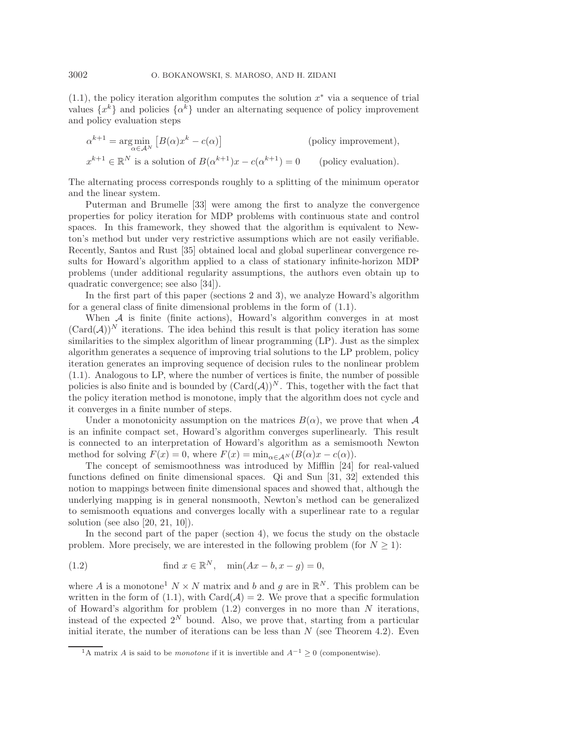$(1.1)$ , the policy iteration algorithm computes the solution  $x^*$  via a sequence of trial values  $\{x^k\}$  and policies  $\{\alpha^k\}$  under an alternating sequence of policy improvement and policy evaluation steps

$$
\alpha^{k+1} = \underset{\alpha \in A^N}{\arg \min} \left[ B(\alpha) x^k - c(\alpha) \right] \qquad \text{(policy improvement)},
$$
  

$$
x^{k+1} \in \mathbb{R}^N \text{ is a solution of } B(\alpha^{k+1})x - c(\alpha^{k+1}) = 0 \qquad \text{(policy evaluation)}.
$$

The alternating process corresponds roughly to a splitting of the minimum operator and the linear system.

Puterman and Brumelle [33] were among the first to analyze the convergence properties for policy iteration for MDP problems with continuous state and control spaces. In this framework, they showed that the algorithm is equivalent to Newton's method but under very restrictive assumptions which are not easily verifiable. Recently, Santos and Rust [35] obtained local and global superlinear convergence results for Howard's algorithm applied to a class of stationary infinite-horizon MDP problems (under additional regularity assumptions, the authors even obtain up to quadratic convergence; see also [34]).

In the first part of this paper (sections 2 and 3), we analyze Howard's algorithm for a general class of finite dimensional problems in the form of (1.1).

When  $A$  is finite (finite actions), Howard's algorithm converges in at most  $(\text{Card}(\mathcal{A}))^N$  iterations. The idea behind this result is that policy iteration has some similarities to the simplex algorithm of linear programming (LP). Just as the simplex algorithm generates a sequence of improving trial solutions to the LP problem, policy iteration generates an improving sequence of decision rules to the nonlinear problem (1.1). Analogous to LP, where the number of vertices is finite, the number of possible policies is also finite and is bounded by  $(\text{Card}(\mathcal{A}))^N$ . This, together with the fact that the policy iteration method is monotone, imply that the algorithm does not cycle and it converges in a finite number of steps.

Under a monotonicity assumption on the matrices  $B(\alpha)$ , we prove that when A is an infinite compact set, Howard's algorithm converges superlinearly. This result is connected to an interpretation of Howard's algorithm as a semismooth Newton method for solving  $F(x) = 0$ , where  $F(x) = \min_{\alpha \in A^N} (B(\alpha)x - c(\alpha)).$ 

The concept of semismoothness was introduced by Mifflin [24] for real-valued functions defined on finite dimensional spaces. Qi and Sun [31, 32] extended this notion to mappings between finite dimensional spaces and showed that, although the underlying mapping is in general nonsmooth, Newton's method can be generalized to semismooth equations and converges locally with a superlinear rate to a regular solution (see also [20, 21, 10]).

In the second part of the paper (section 4), we focus the study on the obstacle problem. More precisely, we are interested in the following problem (for  $N \geq 1$ ):

(1.2) find 
$$
x \in \mathbb{R}^N
$$
,  $\min(Ax - b, x - g) = 0$ ,

where A is a monotone<sup>1</sup>  $N \times N$  matrix and b and q are in  $\mathbb{R}^N$ . This problem can be written in the form of (1.1), with Card( $A$ ) = 2. We prove that a specific formulation of Howard's algorithm for problem  $(1.2)$  converges in no more than N iterations. instead of the expected  $2^N$  bound. Also, we prove that, starting from a particular initial iterate, the number of iterations can be less than  $N$  (see Theorem 4.2). Even

<sup>&</sup>lt;sup>1</sup>A matrix A is said to be *monotone* if it is invertible and  $A^{-1} \geq 0$  (componentwise).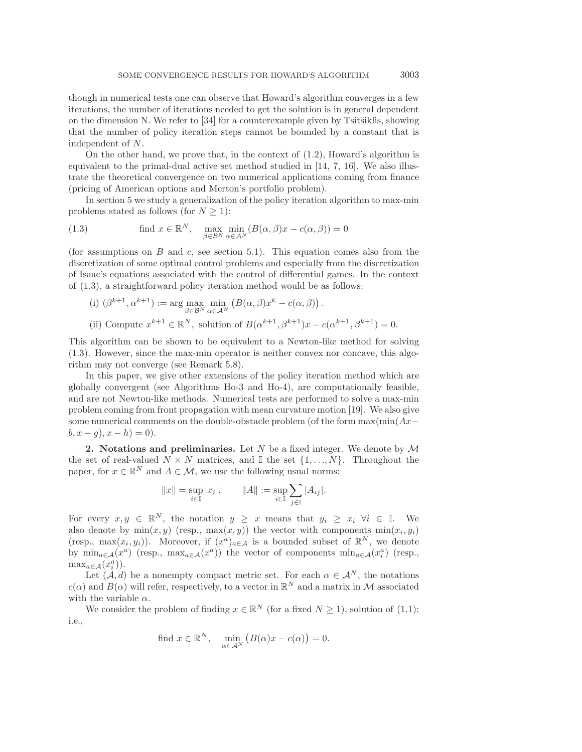though in numerical tests one can observe that Howard's algorithm converges in a few iterations, the number of iterations needed to get the solution is in general dependent on the dimension N. We refer to [34] for a counterexample given by Tsitsiklis, showing that the number of policy iteration steps cannot be bounded by a constant that is independent of N.

On the other hand, we prove that, in the context of (1.2), Howard's algorithm is equivalent to the primal-dual active set method studied in [14, 7, 16]. We also illustrate the theoretical convergence on two numerical applications coming from finance (pricing of American options and Merton's portfolio problem).

In section 5 we study a generalization of the policy iteration algorithm to max-min problems stated as follows (for  $N \geq 1$ ):

(1.3) find 
$$
x \in \mathbb{R}^N
$$
,  $\max_{\beta \in \mathcal{B}^N} \min_{\alpha \in \mathcal{A}^N} (B(\alpha, \beta)x - c(\alpha, \beta)) = 0$ 

(for assumptions on B and c, see section 5.1). This equation comes also from the discretization of some optimal control problems and especially from the discretization of Isaac's equations associated with the control of differential games. In the context of (1.3), a straightforward policy iteration method would be as follows:

(i) 
$$
(\beta^{k+1}, \alpha^{k+1}) := \arg \max_{\beta \in \mathcal{B}^N} \min_{\alpha \in \mathcal{A}^N} \left( B(\alpha, \beta) x^k - c(\alpha, \beta) \right).
$$
  
\n(ii) Compute  $x^{k+1} \in \mathbb{R}^N$ , solution of  $B(\alpha^{k+1}, \beta^{k+1})x - c(\alpha^{k+1}, \beta^{k+1}) = 0$ .

This algorithm can be shown to be equivalent to a Newton-like method for solving (1.3). However, since the max-min operator is neither convex nor concave, this algorithm may not converge (see Remark 5.8).

In this paper, we give other extensions of the policy iteration method which are globally convergent (see Algorithms Ho-3 and Ho-4), are computationally feasible, and are not Newton-like methods. Numerical tests are performed to solve a max-min problem coming from front propagation with mean curvature motion [19]. We also give some numerical comments on the double-obstacle problem (of the form  $\max(\min(Ax-\$  $b, x - g, x - h) = 0.$ 

**2. Notations and preliminaries.** Let N be a fixed integer. We denote by  $\mathcal{M}$ the set of real-valued  $N \times N$  matrices, and I the set  $\{1, ..., N\}$ . Throughout the paper, for  $x \in \mathbb{R}^N$  and  $A \in \mathcal{M}$ , we use the following usual norms:

$$
||x|| = \sup_{i \in \mathbb{I}} |x_i|,
$$
  $||A|| := \sup_{i \in \mathbb{I}} \sum_{j \in \mathbb{I}} |A_{ij}|.$ 

For every  $x, y \in \mathbb{R}^N$ , the notation  $y \geq x$  means that  $y_i \geq x_i$   $\forall i \in \mathbb{I}$ . We also denote by  $min(x, y)$  (resp.,  $max(x, y)$ ) the vector with components  $min(x_i, y_i)$ (resp., max $(x_i, y_i)$ ). Moreover, if  $(x^a)_{a \in \mathcal{A}}$  is a bounded subset of  $\mathbb{R}^N$ , we denote by  $\min_{a \in \mathcal{A}} (x^a)$  (resp.,  $\max_{a \in \mathcal{A}} (x^a)$ ) the vector of components  $\min_{a \in \mathcal{A}} (x_i^a)$  (resp.,  $\max_{a \in \mathcal{A}} (x_i^a)$ ).

Let  $(A, d)$  be a nonempty compact metric set. For each  $\alpha \in A^N$ , the notations  $c(\alpha)$  and  $B(\alpha)$  will refer, respectively, to a vector in  $\mathbb{R}^N$  and a matrix in M associated with the variable  $\alpha$ .

We consider the problem of finding  $x \in \mathbb{R}^N$  (for a fixed  $N \geq 1$ ), solution of (1.1); i.e.,

find 
$$
x \in \mathbb{R}^N
$$
,  $\min_{\alpha \in A^N} (B(\alpha)x - c(\alpha)) = 0$ .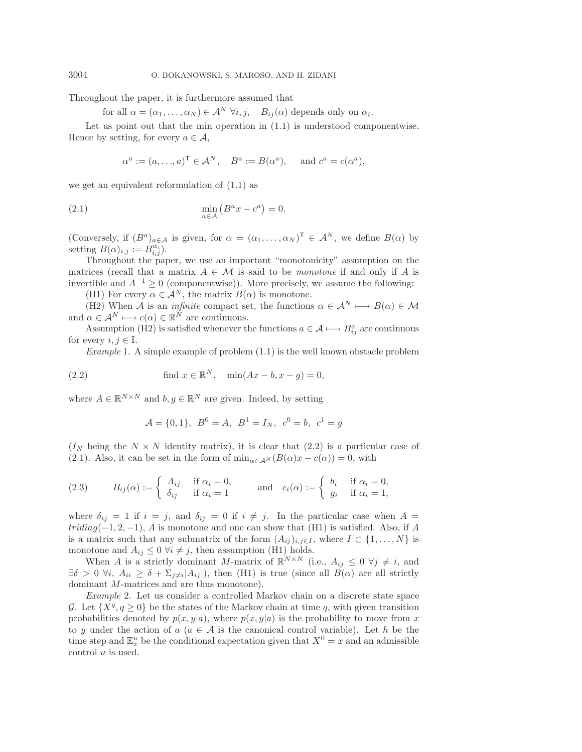Throughout the paper, it is furthermore assumed that

for all  $\alpha = (\alpha_1, \ldots, \alpha_N) \in \mathcal{A}^N$   $\forall i, j, \quad B_{ij}(\alpha)$  depends only on  $\alpha_i$ .

Let us point out that the min operation in (1.1) is understood componentwise. Hence by setting, for every  $a \in \mathcal{A}$ ,

$$
\alpha^a := (a, ..., a)^{\mathsf{T}} \in \mathcal{A}^N
$$
,  $B^a := B(\alpha^a)$ , and  $c^a = c(\alpha^a)$ ,

we get an equivalent reformulation of (1.1) as

$$
\min_{a \in \mathcal{A}} \left( B^a x - c^a \right) = 0.
$$

(Conversely, if  $(B^a)_{a \in \mathcal{A}}$  is given, for  $\alpha = (\alpha_1, \ldots, \alpha_N)^\mathsf{T} \in \mathcal{A}^N$ , we define  $B(\alpha)$  by setting  $B(\alpha)_{i,j} := B^{\alpha_i}_{i,j}$ .

Throughout the paper, we use an important "monotonicity" assumption on the matrices (recall that a matrix  $A \in \mathcal{M}$  is said to be *monotone* if and only if A is invertible and  $A^{-1} > 0$  (componentwise)). More precisely, we assume the following:

(H1) For every  $\alpha \in \mathcal{A}^N$ , the matrix  $B(\alpha)$  is monotone.

(H2) When A is an *infinite* compact set, the functions  $\alpha \in A^N \longmapsto B(\alpha) \in \mathcal{M}$ and  $\alpha \in \mathcal{A}^N \longmapsto c(\alpha) \in \mathbb{R}^N$  are continuous.

Assumption (H2) is satisfied whenever the functions  $a \in \mathcal{A} \longmapsto B_{ij}^a$  are continuous for every  $i, j \in \mathbb{I}$ .

*Example* 1. A simple example of problem  $(1.1)$  is the well known obstacle problem

(2.2) find 
$$
x \in \mathbb{R}^N
$$
,  $\min(Ax - b, x - g) = 0$ ,

where  $A \in \mathbb{R}^{N \times N}$  and  $b, g \in \mathbb{R}^N$  are given. Indeed, by setting

$$
\mathcal{A} = \{0, 1\}, \ B^0 = A, \ B^1 = I_N, \ c^0 = b, \ c^1 = g
$$

 $(I_N$  being the  $N \times N$  identity matrix), it is clear that (2.2) is a particular case of (2.1). Also, it can be set in the form of  $\min_{\alpha \in A^N} (B(\alpha)x - c(\alpha)) = 0$ , with

(2.3) 
$$
B_{ij}(\alpha) := \begin{cases} A_{ij} & \text{if } \alpha_i = 0, \\ \delta_{ij} & \text{if } \alpha_i = 1 \end{cases} \text{ and } c_i(\alpha) := \begin{cases} b_i & \text{if } \alpha_i = 0, \\ g_i & \text{if } \alpha_i = 1, \end{cases}
$$

where  $\delta_{ij} = 1$  if  $i = j$ , and  $\delta_{ij} = 0$  if  $i \neq j$ . In the particular case when  $A =$  $tridiag(-1, 2, -1)$ , A is monotone and one can show that (H1) is satisfied. Also, if A is a matrix such that any submatrix of the form  $(A_{ij})_{i,j\in I}$ , where  $I \subset \{1,\ldots,N\}$  is monotone and  $A_{ij} \leq 0 \ \forall i \neq j$ , then assumption (H1) holds.

When A is a strictly dominant M-matrix of  $\mathbb{R}^{N \times N}$  (i.e.,  $A_{ij} \leq 0 \ \forall j \neq i$ , and  $\exists \delta > 0 \ \forall i, \ A_{ii} \geq \delta + \sum_{j \neq i} |A_{ij}|$ , then (H1) is true (since all  $B(\alpha)$  are all strictly dominant M-matrices and are thus monotone).

*Example* 2. Let us consider a controlled Markov chain on a discrete state space G. Let  $\{X^q, q \geq 0\}$  be the states of the Markov chain at time q, with given transition probabilities denoted by  $p(x, y|a)$ , where  $p(x, y|a)$  is the probability to move from x to y under the action of a ( $a \in \mathcal{A}$  is the canonical control variable). Let h be the time step and  $\mathbb{E}_x^u$  be the conditional expectation given that  $X^0 = x$  and an admissible control u is used.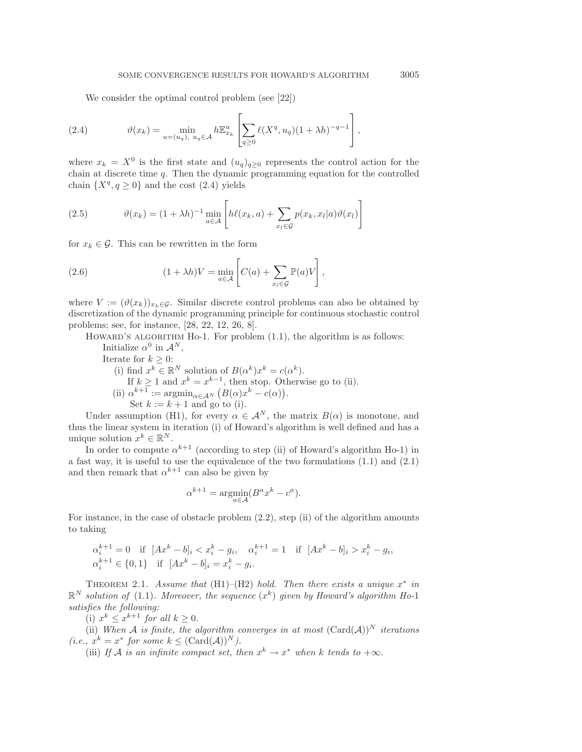We consider the optimal control problem (see [22])

(2.4) 
$$
\vartheta(x_k) = \min_{u = (u_q), \ u_q \in \mathcal{A}} h \mathbb{E}_{x_k}^u \left[ \sum_{q \ge 0} \ell(X^q, u_q) (1 + \lambda h)^{-q-1} \right],
$$

where  $x_k = X^0$  is the first state and  $(u_q)_{q>0}$  represents the control action for the chain at discrete time  $q$ . Then the dynamic programming equation for the controlled chain  $\{X^q, q \geq 0\}$  and the cost  $(2.4)$  yields

(2.5) 
$$
\vartheta(x_k) = (1 + \lambda h)^{-1} \min_{a \in \mathcal{A}} \left[ h\ell(x_k, a) + \sum_{x_l \in \mathcal{G}} p(x_k, x_l | a) \vartheta(x_l) \right]
$$

for  $x_k \in \mathcal{G}$ . This can be rewritten in the form

(2.6) 
$$
(1 + \lambda h)V = \min_{a \in \mathcal{A}} \left[ C(a) + \sum_{x_l \in \mathcal{G}} \mathbb{P}(a)V \right],
$$

where  $V := (\vartheta(x_k))_{x_k \in \mathcal{G}}$ . Similar discrete control problems can also be obtained by discretization of the dynamic programming principle for continuous stochastic control problems; see, for instance, [28, 22, 12, 26, 8].

HOWARD'S ALGORITHM Ho-1. For problem  $(1.1)$ , the algorithm is as follows:

Initialize  $\alpha^0$  in  $\mathcal{A}^N$ ,

Iterate for  $k \geq 0$ :

(i) find  $x^k \in \mathbb{R}^N$  solution of  $B(\alpha^k)x^k = c(\alpha^k)$ . If  $k \geq 1$  and  $x^k = x^{k-1}$ , then stop. Otherwise go to (ii). (ii)  $\alpha^{k+1} := \operatorname{argmin}_{\alpha \in A^N} (B(\alpha)x^k - c(\alpha)).$ Set  $k := k + 1$  and go to (i).

Under assumption (H1), for every  $\alpha \in \mathcal{A}^N$ , the matrix  $B(\alpha)$  is monotone, and thus the linear system in iteration (i) of Howard's algorithm is well defined and has a unique solution  $x^k \in \mathbb{R}^N$ .

In order to compute  $\alpha^{k+1}$  (according to step (ii) of Howard's algorithm Ho-1) in a fast way, it is useful to use the equivalence of the two formulations (1.1) and (2.1) and then remark that  $\alpha^{k+1}$  can also be given by

$$
\alpha^{k+1} = \underset{a \in \mathcal{A}}{\operatorname{argmin}} (B^a x^k - c^a).
$$

For instance, in the case of obstacle problem (2.2), step (ii) of the algorithm amounts to taking

$$
\alpha_i^{k+1} = 0 \quad \text{if } [Ax^k - b]_i < x_i^k - g_i, \quad \alpha_i^{k+1} = 1 \quad \text{if } [Ax^k - b]_i > x_i^k - g_i, \quad \alpha_i^{k+1} \in \{0, 1\} \quad \text{if } [Ax^k - b]_i = x_i^k - g_i.
$$

THEOREM 2.1. *Assume that* (H1)–(H2) *hold. Then there exists a unique*  $x^*$  *in*  $\mathbb{R}^N$  *solution of* (1.1)*. Moreover, the sequence*  $(x^k)$  *given by Howard's algorithm Ho-1 satisfies the following:*

(i)  $x^k \leq x^{k+1}$  *for all*  $k \geq 0$ *.* 

(ii) *When*  $A$  *is finite, the algorithm converges in at most*  $(Card(A))^N$  *iterations*  $(i.e., x^k = x^*$  *for some*  $k \leq (Card(A))^N$ *).* 

(iii) *If* A is an infinite compact set, then  $x^k \to x^*$  when k tends to  $+\infty$ .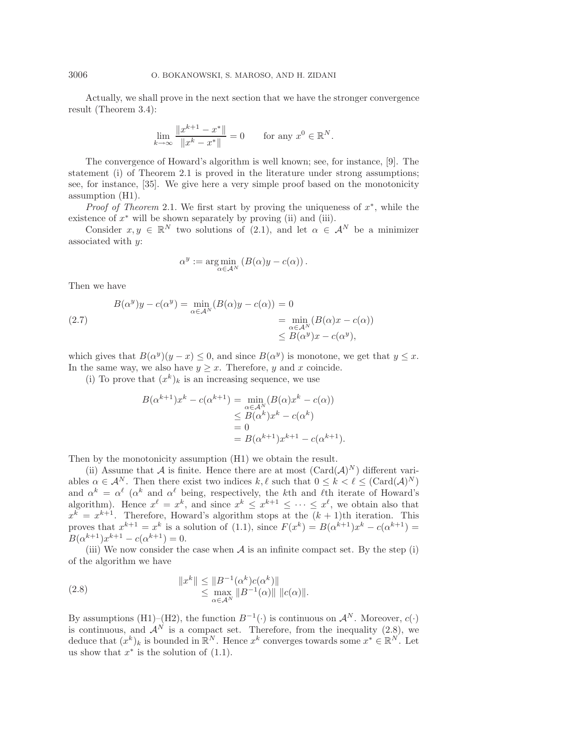Actually, we shall prove in the next section that we have the stronger convergence result (Theorem 3.4):

$$
\lim_{k \to \infty} \frac{\|x^{k+1} - x^*\|}{\|x^k - x^*\|} = 0 \quad \text{for any } x^0 \in \mathbb{R}^N.
$$

The convergence of Howard's algorithm is well known; see, for instance, [9]. The statement (i) of Theorem 2.1 is proved in the literature under strong assumptions; see, for instance, [35]. We give here a very simple proof based on the monotonicity assumption (H1).

*Proof of Theorem* 2.1. We first start by proving the uniqueness of x<sup>∗</sup>, while the existence of  $x^*$  will be shown separately by proving (ii) and (iii).

Consider  $x, y \in \mathbb{R}^N$  two solutions of (2.1), and let  $\alpha \in \mathcal{A}^N$  be a minimizer associated with  $y$ :

$$
\alpha^y := \underset{\alpha \in \mathcal{A}^N}{\arg \min} \left( B(\alpha)y - c(\alpha) \right).
$$

Then we have

(2.7) 
$$
B(\alpha^y)y - c(\alpha^y) = \min_{\alpha \in A^N} (B(\alpha)y - c(\alpha)) = 0
$$

$$
= \min_{\alpha \in A^N} (B(\alpha)x - c(\alpha))
$$

$$
\leq B(\alpha^y)x - c(\alpha^y),
$$

which gives that  $B(\alpha^y)(y-x) \leq 0$ , and since  $B(\alpha^y)$  is monotone, we get that  $y \leq x$ . In the same way, we also have  $y \geq x$ . Therefore, y and x coincide.

(i) To prove that  $(x^k)_k$  is an increasing sequence, we use

$$
B(\alpha^{k+1})x^{k} - c(\alpha^{k+1}) = \min_{\alpha \in \mathcal{A}^{N}} (B(\alpha)x^{k} - c(\alpha))
$$
  
\n
$$
\leq B(\alpha^{k})x^{k} - c(\alpha^{k})
$$
  
\n
$$
= 0
$$
  
\n
$$
= B(\alpha^{k+1})x^{k+1} - c(\alpha^{k+1}).
$$

Then by the monotonicity assumption (H1) we obtain the result.

(ii) Assume that A is finite. Hence there are at most  $(\text{Card}(\mathcal{A})^N)$  different variables  $\alpha \in \mathcal{A}^N$ . Then there exist two indices  $k, \ell$  such that  $0 \leq k < \ell \leq (\text{Card}(\mathcal{A})^N)$ and  $\alpha^k = \alpha^{\ell}$  ( $\alpha^k$  and  $\alpha^{\ell}$  being, respectively, the kth and  $\ell$ th iterate of Howard's algorithm). Hence  $x^{\ell} = x^{k}$ , and since  $x^{k} \leq x^{k+1} \leq \cdots \leq x^{\ell}$ , we obtain also that  $x^k = x^{k+1}$ . Therefore, Howard's algorithm stops at the  $(k + 1)$ th iteration. This proves that  $x^{k+1} = x^k$  is a solution of (1.1), since  $F(x^k) = B(\alpha^{k+1})x^k - c(\alpha^{k+1}) =$  $B(\alpha^{k+1})x^{k+1} - c(\alpha^{k+1}) = 0.$ 

(iii) We now consider the case when  $A$  is an infinite compact set. By the step (i) of the algorithm we have

(2.8) 
$$
||x^k|| \le ||B^{-1}(\alpha^k)c(\alpha^k)||
$$
  
 
$$
\le \max_{\alpha \in A^N} ||B^{-1}(\alpha)|| ||c(\alpha)||.
$$

By assumptions (H1)–(H2), the function  $B^{-1}(\cdot)$  is continuous on  $\mathcal{A}^N$ . Moreover,  $c(\cdot)$ is continuous, and  $\mathcal{A}^N$  is a compact set. Therefore, from the inequality (2.8), we deduce that  $(x^k)_k$  is bounded in  $\mathbb{R}^N$ . Hence  $x^k$  converges towards some  $x^* \in \mathbb{R}^N$ . Let us show that  $x^*$  is the solution of  $(1.1)$ .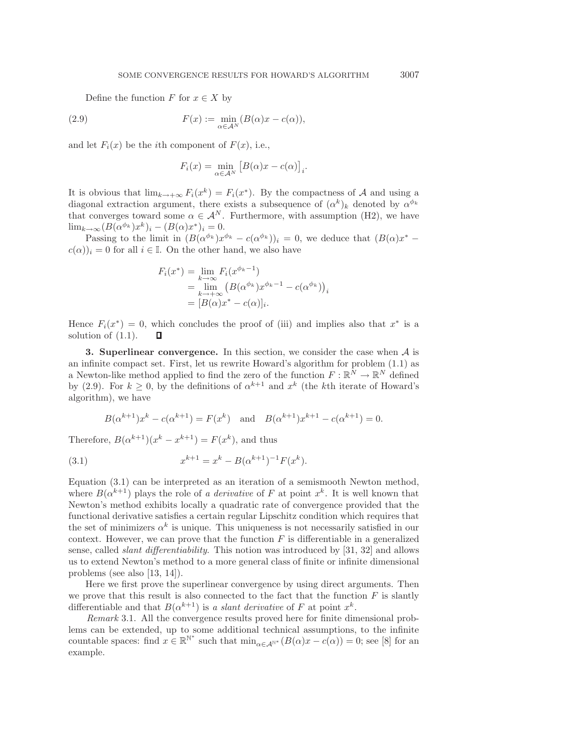Define the function F for  $x \in X$  by

(2.9) 
$$
F(x) := \min_{\alpha \in \mathcal{A}^N} (B(\alpha)x - c(\alpha)),
$$

and let  $F_i(x)$  be the *i*th component of  $F(x)$ , i.e.,

$$
F_i(x) = \min_{\alpha \in \mathcal{A}^N} \left[ B(\alpha)x - c(\alpha) \right]_i.
$$

It is obvious that  $\lim_{k\to+\infty} F_i(x^*) = F_i(x^*)$ . By the compactness of A and using a diagonal extraction argument, there exists a subsequence of  $(\alpha^k)_k$  denoted by  $\alpha^{\phi_k}$ that converges toward some  $\alpha \in \mathcal{A}^N$ . Furthermore, with assumption (H2), we have  $\lim_{k\to\infty} (B(\alpha^{\phi_k})x^k)_i - (B(\alpha)x^*)_i = 0.$ 

Passing to the limit in  $(B(\alpha^{\phi_k})x^{\phi_k} - c(\alpha^{\phi_k}))_i = 0$ , we deduce that  $(B(\alpha)x^*$  $c(\alpha)$ <sub>i</sub> = 0 for all  $i \in \mathbb{I}$ . On the other hand, we also have

$$
F_i(x^*) = \lim_{k \to \infty} F_i(x^{\phi_k - 1})
$$
  
= 
$$
\lim_{k \to +\infty} (B(\alpha^{\phi_k})x^{\phi_k - 1} - c(\alpha^{\phi_k}))_i
$$
  
= 
$$
[B(\alpha)x^* - c(\alpha)]_i.
$$

Hence  $F_i(x^*) = 0$ , which concludes the proof of (iii) and implies also that  $x^*$  is a solution of (1.1). П

**3. Superlinear convergence.** In this section, we consider the case when A is an infinite compact set. First, let us rewrite Howard's algorithm for problem (1.1) as a Newton-like method applied to find the zero of the function  $F: \mathbb{R}^N \to \mathbb{R}^N$  defined by (2.9). For  $k \geq 0$ , by the definitions of  $\alpha^{k+1}$  and  $x^k$  (the kth iterate of Howard's algorithm), we have

$$
B(\alpha^{k+1})x^k - c(\alpha^{k+1}) = F(x^k)
$$
 and  $B(\alpha^{k+1})x^{k+1} - c(\alpha^{k+1}) = 0$ .

Therefore,  $B(\alpha^{k+1})(x^k - x^{k+1}) = F(x^k)$ , and thus

(3.1) 
$$
x^{k+1} = x^k - B(\alpha^{k+1})^{-1}F(x^k).
$$

Equation (3.1) can be interpreted as an iteration of a semismooth Newton method, where  $B(\alpha^{k+1})$  plays the role of *a derivative* of F at point  $x^k$ . It is well known that Newton's method exhibits locally a quadratic rate of convergence provided that the functional derivative satisfies a certain regular Lipschitz condition which requires that the set of minimizers  $\alpha^k$  is unique. This uniqueness is not necessarily satisfied in our context. However, we can prove that the function  $F$  is differentiable in a generalized sense, called *slant differentiability*. This notion was introduced by [31, 32] and allows us to extend Newton's method to a more general class of finite or infinite dimensional problems (see also [13, 14]).

Here we first prove the superlinear convergence by using direct arguments. Then we prove that this result is also connected to the fact that the function  $F$  is slantly differentiable and that  $B(\alpha^{k+1})$  is *a slant derivative* of F at point  $x^k$ .

*Remark* 3.1. All the convergence results proved here for finite dimensional problems can be extended, up to some additional technical assumptions, to the infinite countable spaces: find  $x \in \mathbb{R}^{\mathbb{N}^*}$  such that  $\min_{\alpha \in \mathcal{A}^{\mathbb{N}^*}} (B(\alpha)x - c(\alpha)) = 0$ ; see [8] for an example.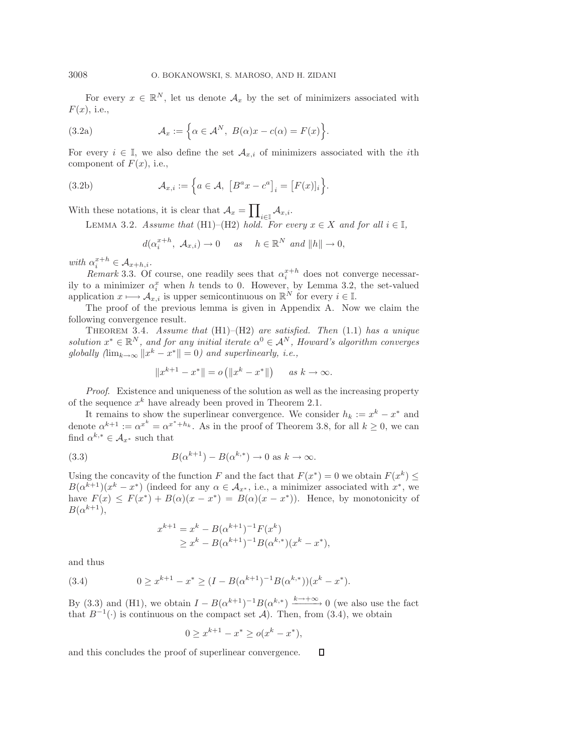For every  $x \in \mathbb{R}^N$ , let us denote  $\mathcal{A}_x$  by the set of minimizers associated with  $F(x)$ , i.e.,

(3.2a) 
$$
\mathcal{A}_x := \left\{ \alpha \in \mathcal{A}^N, \ B(\alpha)x - c(\alpha) = F(x) \right\}.
$$

For every  $i \in \mathbb{I}$ , we also define the set  $\mathcal{A}_{x,i}$  of minimizers associated with the *i*th component of  $F(x)$ , i.e.,

(3.2b) 
$$
\mathcal{A}_{x,i} := \left\{ a \in \mathcal{A}, \left[ B^a x - c^a \right]_i = \left[ F(x) \right]_i \right\}.
$$

With these notations, it is clear that  $\mathcal{A}_x = \prod_{i \in \mathbb{I}} \mathcal{A}_{x,i}$ .

LEMMA 3.2. *Assume that* (H1)–(H2) *hold. For every*  $x \in X$  *and for all*  $i \in I$ *,* 

 $d(\alpha_i^{x+h}, \mathcal{A}_{x,i}) \to 0$  *as*  $h \in \mathbb{R}^N$  *and*  $||h|| \to 0$ ,

*with*  $\alpha_i^{x+h} \in \mathcal{A}_{x+h,i}$ .

 $Remark 3.3.$  Of course, one readily sees that  $\alpha_i^{x+h}$  does not converge necessarily to a minimizer  $\alpha_i^x$  when h tends to 0. However, by Lemma 3.2, the set-valued application  $x \mapsto A_{x,i}$  is upper semicontinuous on  $\mathbb{R}^N$  for every  $i \in \mathbb{I}$ .

The proof of the previous lemma is given in Appendix A. Now we claim the following convergence result.

Theorem 3.4. *Assume that* (H1)–(H2) *are satisfied. Then* (1.1) *has a unique solution*  $x^* \in \mathbb{R}^N$ *, and for any initial iterate*  $\alpha^0 \in A^N$ *, Howard's algorithm converges globally*  $(\lim_{k\to\infty} ||x^k - x^*|| = 0)$  and superlinearly, i.e.,

$$
||x^{k+1} - x^*|| = o(||x^k - x^*||) \quad \text{as } k \to \infty.
$$

*Proof*. Existence and uniqueness of the solution as well as the increasing property of the sequence  $x^k$  have already been proved in Theorem 2.1.

It remains to show the superlinear convergence. We consider  $h_k := x^k - x^*$  and denote  $\alpha^{k+1} := \alpha^{x^k} = \alpha^{x^*+h_k}$ . As in the proof of Theorem 3.8, for all  $k \geq 0$ , we can find  $\alpha^{k,*} \in \mathcal{A}_{x^*}$  such that

(3.3) 
$$
B(\alpha^{k+1}) - B(\alpha^{k,*}) \to 0 \text{ as } k \to \infty.
$$

Using the concavity of the function F and the fact that  $F(x^*) = 0$  we obtain  $F(x^k) \le$  $B(\alpha^{k+1})(x^k - x^*)$  (indeed for any  $\alpha \in \mathcal{A}_{x^*}$ , i.e., a minimizer associated with  $x^*$ , we have  $F(x) \leq F(x^*) + B(\alpha)(x - x^*) = B(\alpha)(x - x^*)$ . Hence, by monotonicity of  $B(\alpha^{k+1}),$ 

$$
x^{k+1} = x^k - B(\alpha^{k+1})^{-1} F(x^k)
$$
  
\n
$$
\geq x^k - B(\alpha^{k+1})^{-1} B(\alpha^{k,*})(x^k - x^*),
$$

and thus

(3.4) 
$$
0 \ge x^{k+1} - x^* \ge (I - B(\alpha^{k+1})^{-1}B(\alpha^{k,*})) (x^k - x^*).
$$

By (3.3) and (H1), we obtain  $I - B(\alpha^{k+1})^{-1}B(\alpha^{k,*}) \xrightarrow{k \to +\infty} 0$  (we also use the fact that  $B^{-1}(\cdot)$  is continuous on the compact set A). Then, from (3.4), we obtain

$$
0 \ge x^{k+1} - x^* \ge o(x^k - x^*),
$$

and this concludes the proof of superlinear convergence. $\Box$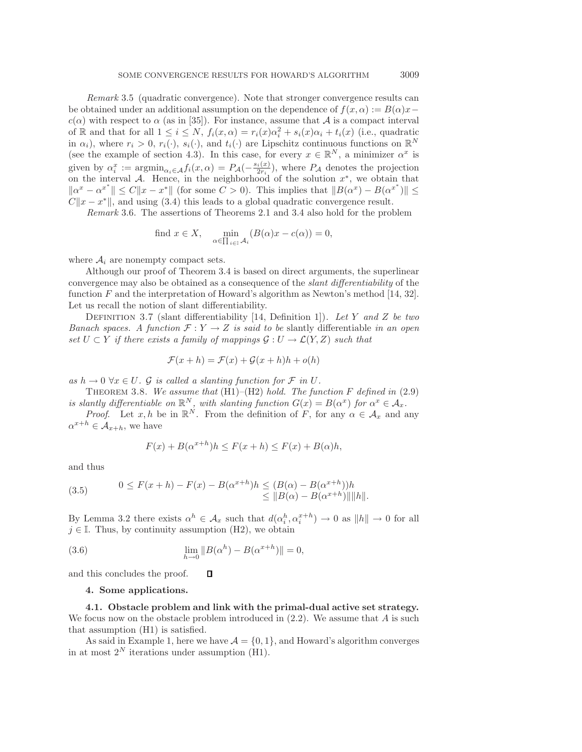*Remark* 3.5 (quadratic convergence). Note that stronger convergence results can be obtained under an additional assumption on the dependence of  $f(x, \alpha) := B(\alpha)x$  $c(\alpha)$  with respect to  $\alpha$  (as in [35]). For instance, assume that A is a compact interval of R and that for all  $1 \leq i \leq N$ ,  $f_i(x, \alpha) = r_i(x)\alpha_i^2 + s_i(x)\alpha_i + t_i(x)$  (i.e., quadratic in  $\alpha_i$ ), where  $r_i > 0$ ,  $r_i(\cdot)$ ,  $s_i(\cdot)$ , and  $t_i(\cdot)$  are Lipschitz continuous functions on  $\mathbb{R}^N$ (see the example of section 4.3). In this case, for every  $x \in \mathbb{R}^N$ , a minimizer  $\alpha^x$  is given by  $\alpha_i^x := \operatorname{argmin}_{\alpha_i \in \mathcal{A}} f_i(x, \alpha) = P_{\mathcal{A}}(-\frac{s_i(x)}{2r_i})$ , where  $P_{\mathcal{A}}$  denotes the projection on the interval A. Hence, in the neighborhood of the solution  $x^*$ , we obtain that  $\|\alpha^x - \alpha^{x^*}\| \le C\|x - x^*\|$  (for some  $C > 0$ ). This implies that  $\|B(\alpha^x) - B(\alpha^{x^*})\| \le C\|x - x^*\|$  $C||x - x^*||$ , and using (3.4) this leads to a global quadratic convergence result.

*Remark* 3.6. The assertions of Theorems 2.1 and 3.4 also hold for the problem

find 
$$
x \in X
$$
,  $\min_{\alpha \in \prod_{i \in I} A_i} (B(\alpha)x - c(\alpha)) = 0$ ,

where  $A_i$  are nonempty compact sets.

Although our proof of Theorem 3.4 is based on direct arguments, the superlinear convergence may also be obtained as a consequence of the *slant differentiability* of the function F and the interpretation of Howard's algorithm as Newton's method  $[14, 32]$ . Let us recall the notion of slant differentiability.

Definition 3.7 (slant differentiability [14, Definition 1]). *Let* Y *and* Z *be two Banach spaces. A function*  $\mathcal{F}: Y \to Z$  *is said to be* slantly differentiable *in an open set*  $U \subset Y$  *if there exists a family of mappings*  $\mathcal{G}: U \to \mathcal{L}(Y, Z)$  *such that* 

$$
\mathcal{F}(x+h) = \mathcal{F}(x) + \mathcal{G}(x+h)h + o(h)
$$

 $as h \to 0 \ \forall x \in U$ .  $\mathcal G$  *is called a slanting function for*  $\mathcal F$  *in*  $U$ .

Theorem 3.8. *We assume that* (H1)–(H2) *hold. The function* F *defined in* (2.9) *is slantly differentiable on*  $\mathbb{R}^N$ *, with slanting function*  $G(x) = B(\alpha^x)$  *for*  $\alpha^x \in A_x$ *.* 

*Proof.* Let  $x, h$  be in  $\mathbb{R}^N$ . From the definition of F, for any  $\alpha \in \mathcal{A}_x$  and any  $\alpha^{x+h} \in \mathcal{A}_{x+h}$ , we have

$$
F(x) + B(\alpha^{x+h})h \le F(x+h) \le F(x) + B(\alpha)h,
$$

and thus

(3.5) 
$$
0 \le F(x+h) - F(x) - B(\alpha^{x+h})h \le (B(\alpha) - B(\alpha^{x+h}))h \le ||B(\alpha) - B(\alpha^{x+h})|| ||h||.
$$

By Lemma 3.2 there exists  $\alpha^h \in A_x$  such that  $d(\alpha_i^h, \alpha_i^{x+h}) \to 0$  as  $||h|| \to 0$  for all  $j \in \mathbb{I}$ . Thus, by continuity assumption (H2), we obtain

(3.6) 
$$
\lim_{h \to 0} \|B(\alpha^h) - B(\alpha^{x+h})\| = 0,
$$

and this concludes the proof.  $\Box$ 

# **4. Some applications.**

**4.1. Obstacle problem and link with the primal-dual active set strategy.** We focus now on the obstacle problem introduced in  $(2.2)$ . We assume that A is such that assumption (H1) is satisfied.

As said in Example 1, here we have  $A = \{0, 1\}$ , and Howard's algorithm converges in at most  $2^N$  iterations under assumption (H1).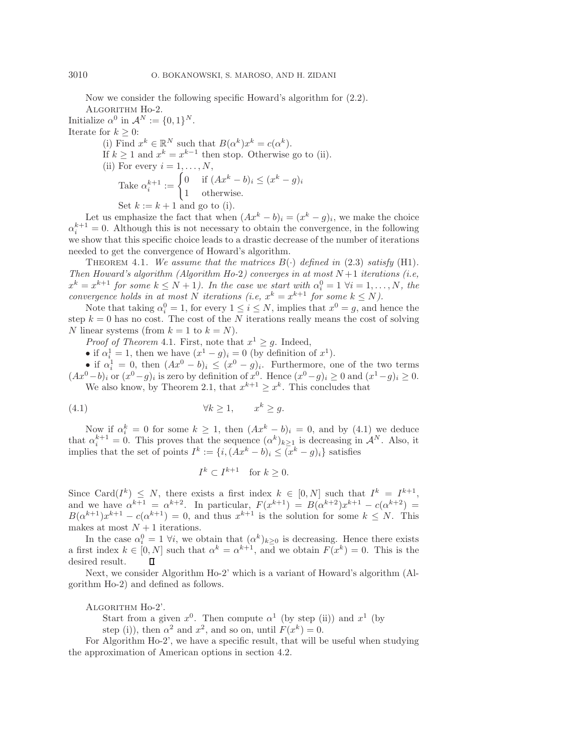Now we consider the following specific Howard's algorithm for (2.2). ALGORITHM Ho-2.

Initialize  $\alpha^0$  in  $\mathcal{A}^N := \{0,1\}^N$ . Iterate for  $k \geq 0$ : (i) Find  $x^k \in \mathbb{R}^N$  such that  $B(\alpha^k)x^k = c(\alpha^k)$ . If  $k > 1$  and  $x^k = x^{k-1}$  then stop. Otherwise go to (ii). (ii) For every  $i = 1, \ldots, N$ , Take  $\alpha_i^{k+1} := \begin{cases} 0 & \text{if } (Ax^k - b)_i \leq (x^k - g)_i \\ 1 & \text{otherwise} \end{cases}$ 1 otherwise.

Set  $k := k + 1$  and go to (i).

Let us emphasize the fact that when  $(Ax^k - b)_i = (x^k - g)_i$ , we make the choice  $\alpha_i^{k+1} = 0$ . Although this is not necessary to obtain the convergence, in the following we show that this specific choice leads to a drastic decrease of the number of iterations needed to get the convergence of Howard's algorithm.

THEOREM 4.1. We assume that the matrices  $B(\cdot)$  defined in (2.3) satisfy (H1). *Then Howard's algorithm (Algorithm Ho-*2*) converges in at most* N +1 *iterations (i.e,*  $x^k = x^{k+1}$  for some  $k \leq N+1$ ). In the case we start with  $\alpha_i^0 = 1 \ \forall i = 1, \ldots, N$ , the *convergence holds in at most* N *iterations* (*i.e,*  $x^k = x^{k+1}$  *for some*  $k \leq N$ ).

Note that taking  $\alpha_i^0 = 1$ , for every  $1 \le i \le N$ , implies that  $x^0 = g$ , and hence the step  $k = 0$  has no cost. The cost of the N iterations really means the cost of solving N linear systems (from  $k = 1$  to  $k = N$ ).

*Proof of Theorem* 4.1. First, note that  $x^1 \geq g$ . Indeed,

• if  $\alpha_i^1 = 1$ , then we have  $(x^1 - g)_i = 0$  (by definition of  $x^1$ ).

• if  $\alpha_i^1 = 0$ , then  $(Ax^0 - b)_i \leq (x^0 - g)_i$ . Furthermore, one of the two terms  $(Ax^{0}-b)$ <sub>i</sub> or  $(x^{0}-g)$ <sub>i</sub> is zero by definition of  $x^{0}$ . Hence  $(x^{0}-g)$ <sub>i</sub> ≥ 0 and  $(x^{1}-g)$ <sub>i</sub> ≥ 0. We also know, by Theorem 2.1, that  $x^{k+1} \geq x^k$ . This concludes that

$$
(4.1) \t\t\t \forall k \ge 1, \t x^k \ge g.
$$

Now if  $\alpha_i^k = 0$  for some  $k \geq 1$ , then  $(Ax^k - b)_i = 0$ , and by (4.1) we deduce that  $\alpha_i^{k+1} = 0$ . This proves that the sequence  $(\alpha^k)_{k \geq 1}$  is decreasing in  $\mathcal{A}^N$ . Also, it implies that the set of points  $I^k := \{i, (Ax^k - b)_i \le (x^k - g)_i\}$  satisfies

$$
I^k \subset I^{k+1} \quad \text{for } k \ge 0.
$$

Since Card( $I^k$ )  $\leq N$ , there exists a first index  $k \in [0, N]$  such that  $I^k = I^{k+1}$ , and we have  $\alpha^{k+1} = \alpha^{k+2}$ . In particular,  $F(x^{k+1}) = B(\alpha^{k+2})x^{k+1} - c(\alpha^{k+2}) =$  $B(\alpha^{k+1})x^{k+1} - c(\alpha^{k+1}) = 0$ , and thus  $x^{k+1}$  is the solution for some  $k \leq N$ . This makes at most  $N+1$  iterations.

In the case  $\alpha_i^0 = 1 \ \forall i$ , we obtain that  $(\alpha^k)_{k \geq 0}$  is decreasing. Hence there exists a first index  $k \in [0, N]$  such that  $\alpha^k = \alpha^{k+1}$ , and we obtain  $F(x^k) = 0$ . This is the desired result. П

Next, we consider Algorithm Ho-2' which is a variant of Howard's algorithm (Algorithm Ho-2) and defined as follows.

ALGORITHM Ho-2'.

Start from a given  $x^0$ . Then compute  $\alpha^1$  (by step (ii)) and  $x^1$  (by

step (i)), then  $\alpha^2$  and  $x^2$ , and so on, until  $F(x^k) = 0$ .

For Algorithm Ho-2', we have a specific result, that will be useful when studying the approximation of American options in section 4.2.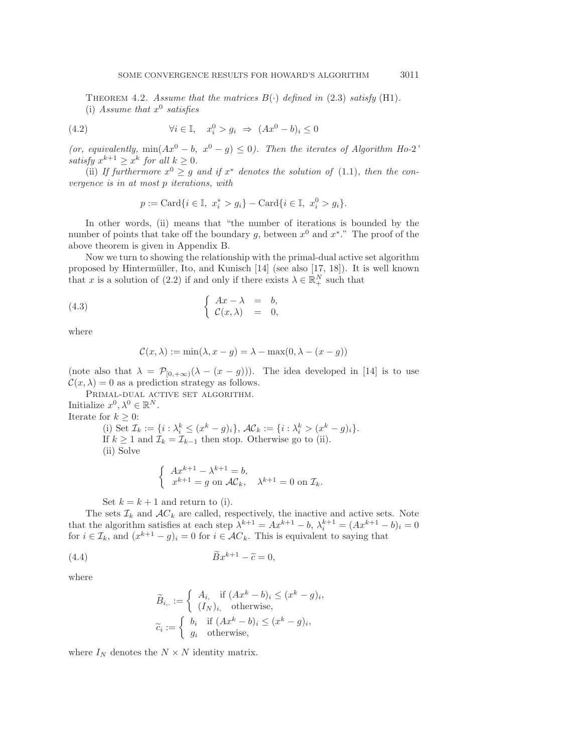THEOREM 4.2. *Assume that the matrices*  $B(\cdot)$  *defined in* (2.3) *satisfy* (H1). (i) Assume that  $x^0$  satisfies

(4.2) 
$$
\forall i \in \mathbb{I}, \quad x_i^0 > g_i \Rightarrow (Ax^0 - b)_i \le 0
$$

*(or, equivalently,* min $(Ax^0 - b, x^0 - g) \leq 0$ *). Then the iterates of Algorithm Ho-2<sup>'</sup> satisfy*  $x^{k+1} \geq x^k$  *for all*  $k \geq 0$ *.* 

(ii) If furthermore  $x^0 \geq g$  and if  $x^*$  denotes the solution of (1.1), then the con*vergence is in at most* p *iterations, with*

$$
p := \text{Card}\{i \in \mathbb{I}, \ x_i^* > g_i\} - \text{Card}\{i \in \mathbb{I}, \ x_i^0 > g_i\}.
$$

In other words, (ii) means that "the number of iterations is bounded by the number of points that take off the boundary g, between  $x^0$  and  $x^*$ ." The proof of the above theorem is given in Appendix B.

Now we turn to showing the relationship with the primal-dual active set algorithm proposed by Hintermüller, Ito, and Kunisch  $[14]$  (see also  $[17, 18]$ ). It is well known that x is a solution of (2.2) if and only if there exists  $\lambda \in \mathbb{R}^N_+$  such that

(4.3) 
$$
\begin{cases} Ax - \lambda = b, \\ \mathcal{C}(x, \lambda) = 0, \end{cases}
$$

where

$$
\mathcal{C}(x,\lambda) := \min(\lambda, x - g) = \lambda - \max(0, \lambda - (x - g))
$$

(note also that  $\lambda = \mathcal{P}_{[0,+\infty)}(\lambda - (x - g))$ ). The idea developed in [14] is to use  $\mathcal{C}(x,\lambda) = 0$  as a prediction strategy as follows.

PRIMAL-DUAL ACTIVE SET ALGORITHM. Initialize  $x^0, \lambda^0 \in \mathbb{R}^N$ . Iterate for  $k \geq 0$ :

(i) Set  $\mathcal{I}_k := \{i : \lambda_i^k \leq (x^k - g)_i\}, \, \mathcal{AC}_k := \{i : \lambda_i^k > (x^k - g)_i\}.$ If  $k \geq 1$  and  $\mathcal{I}_k = \mathcal{I}_{k-1}$  then stop. Otherwise go to (ii). (ii) Solve

$$
\begin{cases}\nAx^{k+1} - \lambda^{k+1} = b, \\
x^{k+1} = g \text{ on } \mathcal{AC}_k, \quad \lambda^{k+1} = 0 \text{ on } \mathcal{I}_k.\n\end{cases}
$$

Set  $k = k + 1$  and return to (i).

The sets  $\mathcal{I}_k$  and  $\mathcal{A}C_k$  are called, respectively, the inactive and active sets. Note that the algorithm satisfies at each step  $\lambda^{k+1} = Ax^{k+1} - b$ ,  $\lambda_i^{k+1} = (Ax^{k+1} - b)_i = 0$ for  $i \in \mathcal{I}_k$ , and  $(x^{k+1} - g)_i = 0$  for  $i \in \mathcal{A}C_k$ . This is equivalent to saying that

$$
\widetilde{B}x^{k+1} - \widetilde{c} = 0,
$$

where

$$
\widetilde{B}_{i,.} := \begin{cases}\nA_i, & \text{if } (Ax^k - b)_i \le (x^k - g)_i, \\
(I_N)_i, & \text{otherwise,} \n\end{cases}
$$
\n
$$
\widetilde{c}_i := \begin{cases}\nb_i & \text{if } (Ax^k - b)_i \le (x^k - g)_i, \\
g_i & \text{otherwise,}\n\end{cases}
$$

where  $I_N$  denotes the  $N \times N$  identity matrix.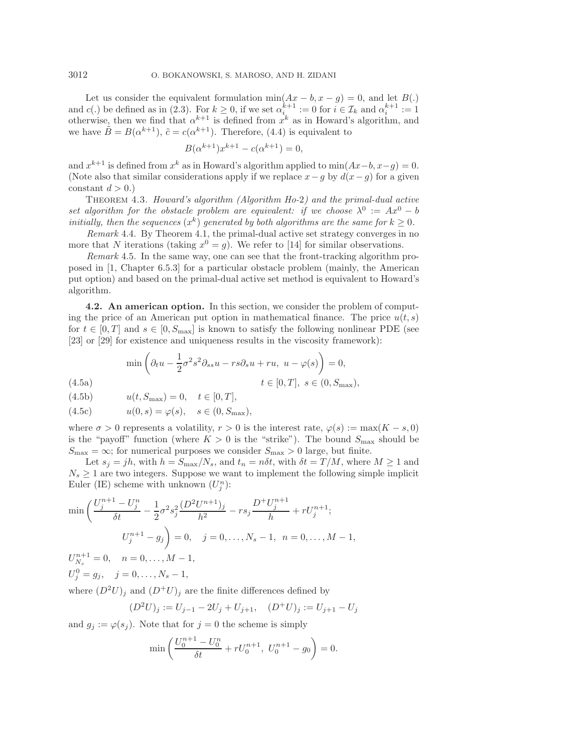Let us consider the equivalent formulation  $min(Ax - b, x - g) = 0$ , and let  $B(.)$ and  $c(.)$  be defined as in (2.3). For  $k \geq 0$ , if we set  $\alpha_i^{k+1} := 0$  for  $i \in \mathcal{I}_k$  and  $\alpha_i^{k+1} := 1$ otherwise, then we find that  $\alpha^{k+1}$  is defined from  $x^k$  as in Howard's algorithm, and we have  $\tilde{B} = B(\alpha^{k+1}), \tilde{c} = c(\alpha^{k+1}).$  Therefore, (4.4) is equivalent to

$$
B(\alpha^{k+1})x^{k+1} - c(\alpha^{k+1}) = 0,
$$

and  $x^{k+1}$  is defined from  $x^k$  as in Howard's algorithm applied to min $(Ax-b, x-q) = 0$ . (Note also that similar considerations apply if we replace  $x-g$  by  $d(x-g)$  for a given constant  $d > 0.$ )

Theorem 4.3. *Howard's algorithm (Algorithm Ho-*2*) and the primal-dual active set algorithm for the obstacle problem are equivalent: if we choose*  $\lambda^0 := Ax^0 - b$ *initially, then the sequences*  $(x^k)$  *generated by both algorithms are the same for*  $k \geq 0$ *.* 

*Remark* 4.4. By Theorem 4.1, the primal-dual active set strategy converges in no more that N iterations (taking  $x^0 = g$ ). We refer to [14] for similar observations.

*Remark* 4.5. In the same way, one can see that the front-tracking algorithm proposed in [1, Chapter 6.5.3] for a particular obstacle problem (mainly, the American put option) and based on the primal-dual active set method is equivalent to Howard's algorithm.

**4.2. An american option.** In this section, we consider the problem of computing the price of an American put option in mathematical finance. The price  $u(t, s)$ for  $t \in [0, T]$  and  $s \in [0, S_{\text{max}}]$  is known to satisfy the following nonlinear PDE (see [23] or [29] for existence and uniqueness results in the viscosity framework):

$$
\min\left(\partial_t u - \frac{1}{2}\sigma^2 s^2 \partial_{ss} u - rs \partial_s u + ru, \ u - \varphi(s)\right) = 0,
$$
\n(4.5a)\n
$$
t \in [0, T], \ s \in (0, S_{\text{max}}),
$$

 $(4.5b)$ 

$$
u(t, S_{\max}) = 0, \quad t \in [0, T],
$$

(4.5c) 
$$
u(0, s) = \varphi(s), \quad s \in (0, S_{\max}),
$$

where  $\sigma > 0$  represents a volatility,  $r > 0$  is the interest rate,  $\varphi(s) := \max(K - s, 0)$ is the "payoff" function (where  $K > 0$  is the "strike"). The bound  $S_{\text{max}}$  should be  $S_{\rm max}=\infty;$  for numerical purposes we consider  $S_{\rm max}>0$  large, but finite.

Let  $s_j = jh$ , with  $h = S_{\text{max}}/N_s$ , and  $t_n = n\delta t$ , with  $\delta t = T/M$ , where  $M \ge 1$  and  $N_s \geq 1$  are two integers. Suppose we want to implement the following simple implicit Euler (IE) scheme with unknown  $(U_j^n)$ :

$$
\min\left(\frac{U_j^{n+1} - U_j^n}{\delta t} - \frac{1}{2}\sigma^2 s_j^2 \frac{(D^2 U^{n+1})_j}{h^2} - rs_j \frac{D^+ U_j^{n+1}}{h} + rU_j^{n+1};\right)
$$
  

$$
U_j^{n+1} - g_j = 0, \quad j = 0, \dots, N_s - 1, \quad n = 0, \dots, M - 1,
$$
  

$$
U_{N_s}^{n+1} = 0, \quad n = 0, \dots, M - 1,
$$

 $U_j^0 = g_j, \quad j = 0, \ldots, N_s - 1,$ 

where  $(D^2U)_i$  and  $(D^+U)_i$  are the finite differences defined by

$$
(D2U)j := Uj-1 - 2Uj + Uj+1, (D+U)j := Uj+1 - Uj
$$

and  $g_j := \varphi(s_j)$ . Note that for  $j = 0$  the scheme is simply

$$
\min\left(\frac{U_0^{n+1} - U_0^n}{\delta t} + rU_0^{n+1}, U_0^{n+1} - g_0\right) = 0.
$$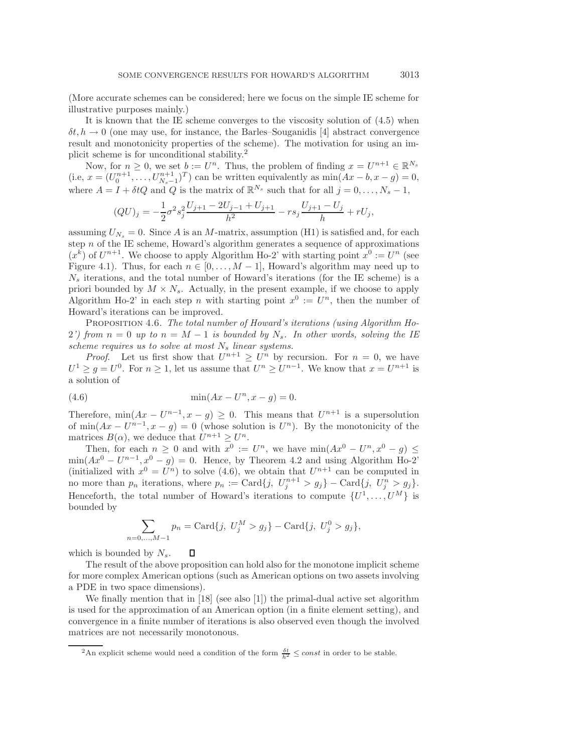(More accurate schemes can be considered; here we focus on the simple IE scheme for illustrative purposes mainly.)

It is known that the IE scheme converges to the viscosity solution of (4.5) when  $\delta t, h \to 0$  (one may use, for instance, the Barles–Souganidis [4] abstract convergence result and monotonicity properties of the scheme). The motivation for using an implicit scheme is for unconditional stability.<sup>2</sup>

Now, for  $n \geq 0$ , we set  $b := U^n$ . Thus, the problem of finding  $x = U^{n+1} \in \mathbb{R}^{N_s}$ (i.e,  $x = (U_0^{n+1}, \ldots, U_{N_s-1}^{n+1})^T$ ) can be written equivalently as  $\min(Ax - b, x - g) = 0$ , where  $A = I + \delta t Q$  and Q is the matrix of  $\mathbb{R}^{N_s}$  such that for all  $j = 0, \ldots, N_s - 1$ ,

$$
(QU)_j = -\frac{1}{2}\sigma^2 s_j^2 \frac{U_{j+1} - 2U_{j-1} + U_{j+1}}{h^2} - rs_j \frac{U_{j+1} - U_j}{h} + rU_j,
$$

assuming  $U_{N_s} = 0$ . Since A is an M-matrix, assumption (H1) is satisfied and, for each step  $n$  of the IE scheme, Howard's algorithm generates a sequence of approximations  $(x^{k})$  of  $U^{n+1}$ . We choose to apply Algorithm Ho-2' with starting point  $x^{0} := U^{n}$  (see Figure 4.1). Thus, for each  $n \in [0, \ldots, M-1]$ , Howard's algorithm may need up to  $N<sub>s</sub>$  iterations, and the total number of Howard's iterations (for the IE scheme) is a priori bounded by  $M \times N_s$ . Actually, in the present example, if we choose to apply Algorithm Ho-2' in each step n with starting point  $x^0 := U^n$ , then the number of Howard's iterations can be improved.

Proposition 4.6. *The total number of Howard's iterations (using Algorithm Ho-*2') from  $n = 0$  up to  $n = M - 1$  is bounded by  $N_s$ . In other words, solving the IE *scheme requires us to solve at most*  $N_s$  *linear systems.* 

*Proof.* Let us first show that  $U^{n+1} \geq U^n$  by recursion. For  $n = 0$ , we have  $U^1 \ge g = U^0$ . For  $n \ge 1$ , let us assume that  $U^n \ge U^{n-1}$ . We know that  $x = U^{n+1}$  is a solution of

(4.6) 
$$
\min(Ax - U^n, x - g) = 0.
$$

Therefore,  $\min(Ax - U^{n-1}, x - g) \geq 0$ . This means that  $U^{n+1}$  is a supersolution of min $(Ax - U^{n-1}, x - g) = 0$  (whose solution is  $U^n$ ). By the monotonicity of the matrices  $B(\alpha)$ , we deduce that  $U^{n+1} \geq U^n$ .

Then, for each  $n \geq 0$  and with  $x^0 := U^n$ , we have  $\min(Ax^0 - U^n, x^0 - g) \leq$  $min(Ax^0 - U^{n-1}, x^0 - g) = 0$ . Hence, by Theorem 4.2 and using Algorithm Ho-2' (initialized with  $x^0 = U^n$ ) to solve (4.6), we obtain that  $U^{n+1}$  can be computed in no more than  $p_n$  iterations, where  $p_n := \text{Card}\{j, U_j^{n+1} > g_j\} - \text{Card}\{j, U_j^n > g_j\}.$ Henceforth, the total number of Howard's iterations to compute  $\{U^1,\ldots,U^M\}$  is bounded by

$$
\sum_{n=0,\dots,M-1} p_n = \text{Card}\{j, U_j^M > g_j\} - \text{Card}\{j, U_j^0 > g_j\},\,
$$

which is bounded by  $N_s$ . П

The result of the above proposition can hold also for the monotone implicit scheme for more complex American options (such as American options on two assets involving a PDE in two space dimensions).

We finally mention that in [18] (see also [1]) the primal-dual active set algorithm is used for the approximation of an American option (in a finite element setting), and convergence in a finite number of iterations is also observed even though the involved matrices are not necessarily monotonous.

<sup>&</sup>lt;sup>2</sup>An explicit scheme would need a condition of the form  $\frac{\delta t}{h^2} \le const$  in order to be stable.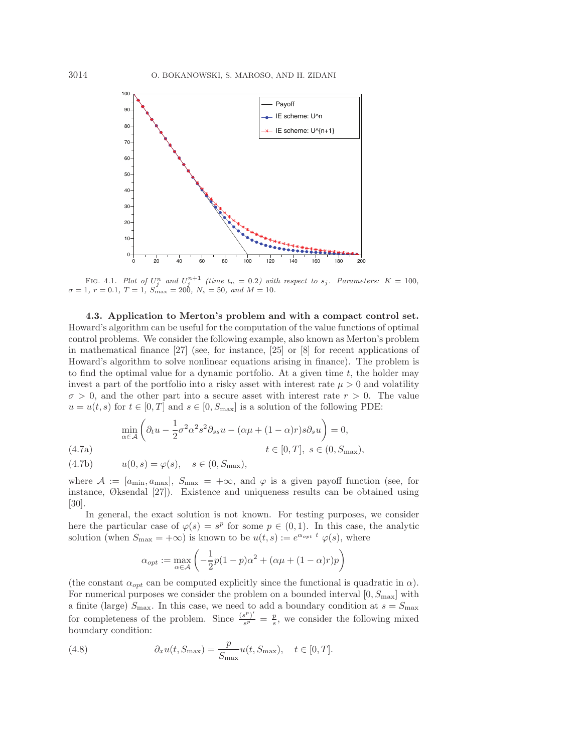

FIG. 4.1. Plot of  $U_j^n$  and  $U_j^{n+1}$  (time  $t_n = 0.2$ ) with respect to  $s_j$ . Parameters:  $K = 100$ ,  $r = 0.1$   $T = 1$   $S_j^j = -200$   $N = 50$  and  $M = 10$  $\sigma = 1, r = 0.1, T = 1, S_{\text{max}}^{\dagger} = 200, N_s = 50, \text{ and } M = 10.$ 

**4.3. Application to Merton's problem and with a compact control set.** Howard's algorithm can be useful for the computation of the value functions of optimal control problems. We consider the following example, also known as Merton's problem in mathematical finance [27] (see, for instance, [25] or [8] for recent applications of Howard's algorithm to solve nonlinear equations arising in finance). The problem is to find the optimal value for a dynamic portfolio. At a given time  $t$ , the holder may invest a part of the portfolio into a risky asset with interest rate  $\mu > 0$  and volatility  $\sigma > 0$ , and the other part into a secure asset with interest rate  $r > 0$ . The value  $u = u(t, s)$  for  $t \in [0, T]$  and  $s \in [0, S_{\text{max}}]$  is a solution of the following PDE:

$$
\min_{\alpha \in \mathcal{A}} \left( \partial_t u - \frac{1}{2} \sigma^2 \alpha^2 s^2 \partial_{ss} u - (\alpha \mu + (1 - \alpha)r) s \partial_s u \right) = 0,
$$
\n(4.7a)\n
$$
t \in [0, T], \ s \in (0, S_{\text{max}}),
$$
\n(4.7b)\n
$$
u(0, s) = \varphi(s), \quad s \in (0, S_{\text{max}}),
$$

where  $\mathcal{A} := [a_{\min}, a_{\max}], S_{\max} = +\infty$ , and  $\varphi$  is a given payoff function (see, for instance, Øksendal [27]). Existence and uniqueness results can be obtained using [30].

In general, the exact solution is not known. For testing purposes, we consider here the particular case of  $\varphi(s) = s^p$  for some  $p \in (0,1)$ . In this case, the analytic solution (when  $S_{\text{max}} = +\infty$ ) is known to be  $u(t, s) := e^{\alpha_{opt} t} \varphi(s)$ , where

$$
\alpha_{opt} := \max_{\alpha \in \mathcal{A}} \left( -\frac{1}{2}p(1-p)\alpha^2 + (\alpha \mu + (1-\alpha)r)p \right)
$$

(the constant  $\alpha_{opt}$  can be computed explicitly since the functional is quadratic in  $\alpha$ ). For numerical purposes we consider the problem on a bounded interval  $[0, S_{\text{max}}]$  with a finite (large)  $S_{\text{max}}$ . In this case, we need to add a boundary condition at  $s = S_{\text{max}}$ for completeness of the problem. Since  $\frac{(s^p)'}{s^p} = \frac{p}{s}$ , we consider the following mixed boundary condition:

(4.8) 
$$
\partial_x u(t, S_{\max}) = \frac{p}{S_{\max}} u(t, S_{\max}), \quad t \in [0, T].
$$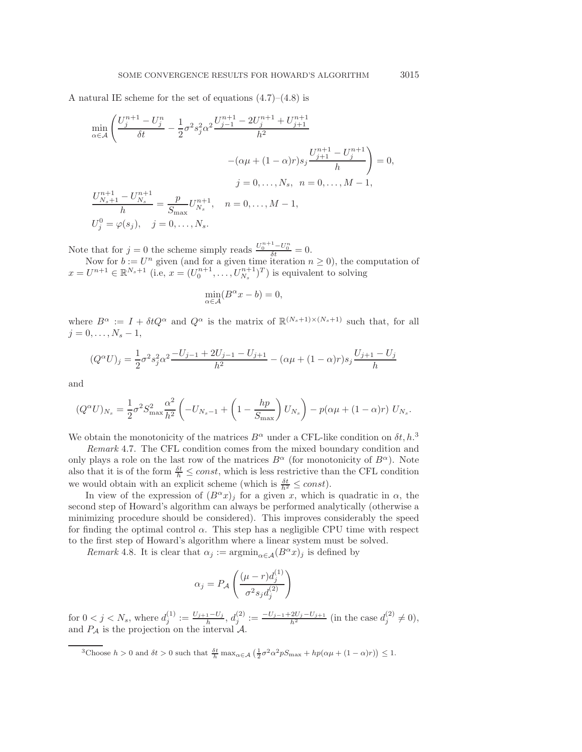A natural IE scheme for the set of equations  $(4.7)$ – $(4.8)$  is

$$
\min_{\alpha \in \mathcal{A}} \left( \frac{U_j^{n+1} - U_j^n}{\delta t} - \frac{1}{2} \sigma^2 s_j^2 \alpha^2 \frac{U_{j-1}^{n+1} - 2U_j^{n+1} + U_{j+1}^{n+1}}{h^2} - (\alpha \mu + (1 - \alpha)r) s_j \frac{U_{j+1}^{n+1} - U_j^{n+1}}{h} \right) = 0,
$$
  
\n
$$
j = 0, \dots, N_s, \quad n = 0, \dots, M - 1,
$$
  
\n
$$
\frac{U_{N_s+1}^{n+1} - U_{N_s}^{n+1}}{h} = \frac{p}{S_{\text{max}}} U_{N_s}^{n+1}, \quad n = 0, \dots, M - 1,
$$
  
\n
$$
U_j^0 = \varphi(s_j), \quad j = 0, \dots, N_s.
$$

Note that for  $j = 0$  the scheme simply reads  $\frac{U_0^{n+1} - U_0^n}{\delta t} = 0$ .

Now for  $b := U^n$  given (and for a given time iteration  $n \geq 0$ ), the computation of  $x = U^{n+1} \in \mathbb{R}^{N_s+1}$  (i.e,  $x = (U_0^{n+1}, \ldots, U_{N_s}^{n+1})^T$ ) is equivalent to solving

$$
\min_{\alpha \in \mathcal{A}} (B^{\alpha} x - b) = 0,
$$

where  $B^{\alpha} := I + \delta t Q^{\alpha}$  and  $Q^{\alpha}$  is the matrix of  $\mathbb{R}^{(N_s+1)\times(N_s+1)}$  such that, for all  $j = 0, \ldots, N_s - 1,$ 

$$
(Q^{\alpha}U)_j=\frac{1}{2}\sigma^2 s_j^2 \alpha^2\frac{-U_{j-1}+2U_{j-1}-U_{j+1}}{h^2}-(\alpha\mu+(1-\alpha)r)s_j\frac{U_{j+1}-U_j}{h}
$$

and

$$
(Q^{\alpha}U)_{N_s} = \frac{1}{2}\sigma^2 S_{\max}^2 \frac{\alpha^2}{h^2} \left( -U_{N_s-1} + \left( 1 - \frac{hp}{S_{\max}} \right) U_{N_s} \right) - p(\alpha \mu + (1 - \alpha)r) U_{N_s}.
$$

We obtain the monotonicity of the matrices  $B^{\alpha}$  under a CFL-like condition on  $\delta t$ ,  $h$ .<sup>3</sup>

*Remark* 4.7. The CFL condition comes from the mixed boundary condition and only plays a role on the last row of the matrices  $B^{\alpha}$  (for monotonicity of  $B^{\alpha}$ ). Note also that it is of the form  $\frac{\delta t}{h} \leq const$ , which is less restrictive than the CFL condition we would obtain with an explicit scheme (which is  $\frac{\delta t}{h^2} \leq const$ ).

In view of the expression of  $(B^{\alpha}x)_j$  for a given x, which is quadratic in  $\alpha$ , the second step of Howard's algorithm can always be performed analytically (otherwise a minimizing procedure should be considered). This improves considerably the speed for finding the optimal control  $\alpha$ . This step has a negligible CPU time with respect to the first step of Howard's algorithm where a linear system must be solved.

*Remark* 4.8. It is clear that  $\alpha_j := \operatorname{argmin}_{\alpha \in \mathcal{A}} (B^{\alpha}x)_j$  is defined by

$$
\alpha_j = P_{\mathcal{A}} \left( \frac{(\mu - r) d_j^{(1)}}{\sigma^2 s_j d_j^{(2)}} \right)
$$

for  $0 < j < N_s$ , where  $d_j^{(1)} := \frac{U_{j+1} - U_j}{h}$ ,  $d_j^{(2)} := \frac{-U_{j-1} + 2U_j - U_{j+1}}{h^2}$  (in the case  $d_j^{(2)} \neq 0$ ), and  $P_{\mathcal{A}}$  is the projection on the interval  $\mathcal{A}$ .

<sup>3</sup>Choose  $h > 0$  and  $\delta t > 0$  such that  $\frac{\delta t}{h} \max_{\alpha \in \mathcal{A}} \left( \frac{1}{2} \sigma^2 \alpha^2 p S_{\max} + h p(\alpha \mu + (1 - \alpha)r) \right) \leq 1$ .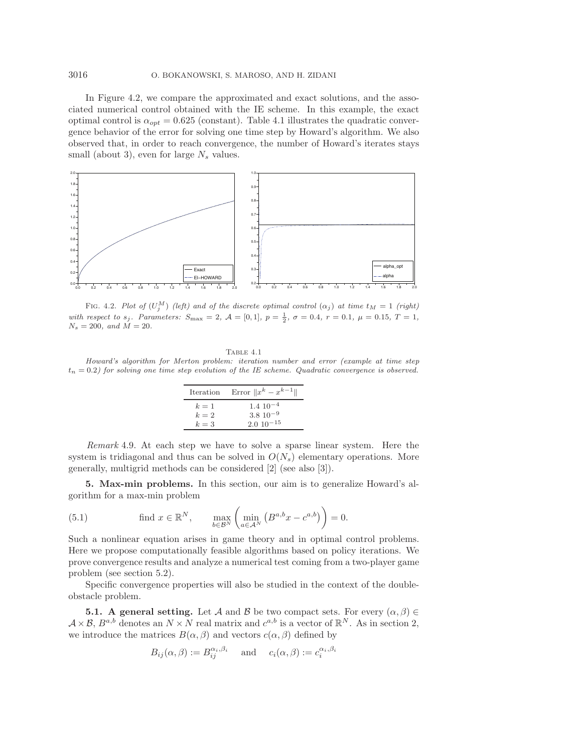In Figure 4.2, we compare the approximated and exact solutions, and the associated numerical control obtained with the IE scheme. In this example, the exact optimal control is  $\alpha_{opt} = 0.625$  (constant). Table 4.1 illustrates the quadratic convergence behavior of the error for solving one time step by Howard's algorithm. We also observed that, in order to reach convergence, the number of Howard's iterates stays small (about 3), even for large  $N_s$  values.



FIG. 4.2. Plot of  $(U_j^M)$  (left) and of the discrete optimal control  $(\alpha_j)$  at time  $t_M = 1$  (right) with respect to  $s_j$ . Parameters:  $S_{\text{max}} = 2$ ,  $\mathcal{A} = [0, 1]$ ,  $p = \frac{1}{2}$ ,  $\sigma = 0.4$ ,  $r = 0.1$ ,  $\mu = 0.15$ ,  $T = 1$ ,  $N = 200$  and  $M = 20$  $N_s = 200$ , and  $\dot{M} = 20$ .

Table 4.1 Howard's algorithm for Merton problem: iteration number and error (example at time step  $t_n = 0.2$ ) for solving one time step evolution of the IE scheme. Quadratic convergence is observed.

| Iteration | Error $  x^k - x^{k-1}  $ |
|-----------|---------------------------|
| $k=1$     | $1.4 \; 10^{-4}$          |
| $k=2$     | $3.8 \ 10^{-9}$           |
| $k=3$     | $2.010^{-15}$             |

*Remark* 4.9. At each step we have to solve a sparse linear system. Here the system is tridiagonal and thus can be solved in  $O(N<sub>s</sub>)$  elementary operations. More generally, multigrid methods can be considered [2] (see also [3]).

**5. Max-min problems.** In this section, our aim is to generalize Howard's algorithm for a max-min problem

(5.1) find 
$$
x \in \mathbb{R}^N
$$
,  $\max_{b \in \mathcal{B}^N} \left( \min_{a \in \mathcal{A}^N} \left( B^{a,b} x - c^{a,b} \right) \right) = 0$ .

Such a nonlinear equation arises in game theory and in optimal control problems. Here we propose computationally feasible algorithms based on policy iterations. We prove convergence results and analyze a numerical test coming from a two-player game problem (see section 5.2).

Specific convergence properties will also be studied in the context of the doubleobstacle problem.

**5.1. A general setting.** Let A and B be two compact sets. For every  $(\alpha, \beta) \in$  $A \times B$ ,  $B^{a,b}$  denotes an  $N \times N$  real matrix and  $c^{a,b}$  is a vector of  $\mathbb{R}^N$ . As in section 2, we introduce the matrices  $B(\alpha, \beta)$  and vectors  $c(\alpha, \beta)$  defined by

$$
B_{ij}(\alpha, \beta) := B_{ij}^{\alpha_i, \beta_i}
$$
 and  $c_i(\alpha, \beta) := c_i^{\alpha_i, \beta_i}$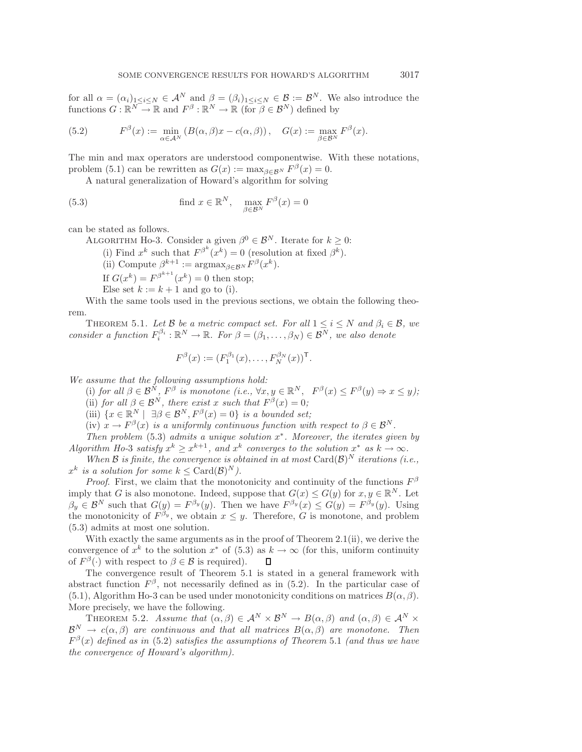for all  $\alpha = (\alpha_i)_{1 \leq i \leq N} \in \mathcal{A}^N$  and  $\beta = (\beta_i)_{1 \leq i \leq N} \in \mathcal{B} := \mathcal{B}^N$ . We also introduce the functions  $G: \mathbb{R}^N \to \mathbb{R}$  and  $F^{\beta}: \mathbb{R}^N \to \mathbb{R}$  (for  $\beta \in \mathcal{B}^N$ ) defined by

(5.2) 
$$
F^{\beta}(x) := \min_{\alpha \in A^N} \left( B(\alpha, \beta)x - c(\alpha, \beta) \right), \quad G(x) := \max_{\beta \in B^N} F^{\beta}(x).
$$

The min and max operators are understood componentwise. With these notations, problem (5.1) can be rewritten as  $G(x) := \max_{\beta \in \mathcal{B}^N} F^{\beta}(x) = 0$ .

A natural generalization of Howard's algorithm for solving

(5.3) find 
$$
x \in \mathbb{R}^N
$$
,  $\max_{\beta \in \mathcal{B}^N} F^{\beta}(x) = 0$ 

can be stated as follows.

ALGORITHM Ho-3. Consider a given  $\beta^0 \in \mathcal{B}^N$ . Iterate for  $k \geq 0$ :

(i) Find  $x^k$  such that  $F^{\beta^k}(x^k) = 0$  (resolution at fixed  $\beta^k$ ).

(ii) Compute  $\beta^{k+1} := \operatorname{argmax}_{\beta \in \mathcal{B}^N} F^{\beta}(x^k)$ .

If  $G(x^k) = F^{\beta^{k+1}}(x^k) = 0$  then stop;

Else set  $k := k + 1$  and go to (i).

With the same tools used in the previous sections, we obtain the following theorem.

THEOREM 5.1. Let B be a metric compact set. For all  $1 \le i \le N$  and  $\beta_i \in \mathcal{B}$ , we *consider a function*  $F_i^{\beta_i} : \mathbb{R}^N \to \mathbb{R}$ *. For*  $\beta = (\beta_1, \dots, \beta_N) \in \mathcal{B}^N$ *, we also denote* 

$$
F^{\beta}(x) := (F_1^{\beta_1}(x), \dots, F_N^{\beta_N}(x))^{\mathsf{T}}.
$$

*We assume that the following assumptions hold:*

(i) *for all*  $\beta \in \mathcal{B}^N$ ,  $F^{\beta}$  *is monotone (i.e.*,  $\forall x, y \in \mathbb{R}^N$ ,  $F^{\beta}(x) \leq F^{\beta}(y) \Rightarrow x \leq y$ ); (ii) *for all*  $\beta \in \mathcal{B}^N$ *, there exist* x *such that*  $F^{\beta}(x)=0$ *;* 

(iii)  $\{x \in \mathbb{R}^N \mid \exists \beta \in \mathcal{B}^N, F^{\beta}(x)=0\}$  *is a bounded set*;

(iv)  $x \to F^{\beta}(x)$  *is a uniformly continuous function with respect to*  $\beta \in \mathcal{B}^{N}$ *.* 

*Then problem* (5.3) *admits a unique solution* x∗*. Moreover, the iterates given by Algorithm Ho-3 satisfy*  $x^k \geq x^{k+1}$ , and  $x^k$  *converges to the solution*  $x^*$  *as*  $k \to \infty$ *.* 

*When*  $\mathcal{B}$  *is finite, the convergence is obtained in at most*  $Card(\mathcal{B})^N$  *iterations (i.e.,*  $x^k$  *is a solution for some*  $k \leq \text{Card}(\mathcal{B})^N$ *)*.

*Proof.* First, we claim that the monotonicity and continuity of the functions  $F^{\beta}$ imply that G is also monotone. Indeed, suppose that  $G(x) \leq G(y)$  for  $x, y \in \mathbb{R}^N$ . Let  $\beta_y \in \mathcal{B}^N$  such that  $G(y) = F^{\beta_y}(y)$ . Then we have  $F^{\beta_y}(x) \leq G(y) = F^{\beta_y}(y)$ . Using the monotonicity of  $F^{\beta_y}$ , we obtain  $x \leq y$ . Therefore, G is monotone, and problem (5.3) admits at most one solution.

With exactly the same arguments as in the proof of Theorem 2.1(ii), we derive the convergence of  $x^k$  to the solution  $x^*$  of (5.3) as  $k \to \infty$  (for this, uniform continuity of  $F^{\beta}(\cdot)$  with respect to  $\beta \in \mathcal{B}$  is required).  $\Box$ 

The convergence result of Theorem 5.1 is stated in a general framework with abstract function  $F^{\beta}$ , not necessarily defined as in (5.2). In the particular case of (5.1), Algorithm Ho-3 can be used under monotonicity conditions on matrices  $B(\alpha, \beta)$ . More precisely, we have the following.

THEOREM 5.2. *Assume that*  $(\alpha, \beta) \in A^N \times B^N \to B(\alpha, \beta)$  *and*  $(\alpha, \beta) \in A^N \times$  $\mathcal{B}^N \to c(\alpha, \beta)$  are continuous and that all matrices  $B(\alpha, \beta)$  are monotone. Then  $F^{\beta}(x)$  *defined as in* (5.2) *satisfies the assumptions of Theorem* 5.1 *(and thus we have the convergence of Howard's algorithm).*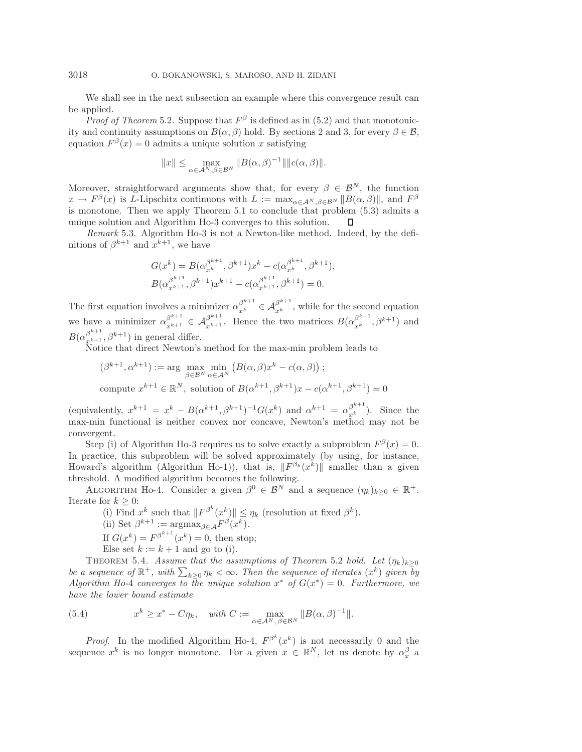We shall see in the next subsection an example where this convergence result can be applied.

*Proof of Theorem* 5.2. Suppose that  $F^{\beta}$  is defined as in (5.2) and that monotonicity and continuity assumptions on  $B(\alpha, \beta)$  hold. By sections 2 and 3, for every  $\beta \in \mathcal{B}$ , equation  $F^{\beta}(x) = 0$  admits a unique solution x satisfying

$$
||x|| \le \max_{\alpha \in \mathcal{A}^N, \beta \in \mathcal{B}^N} ||B(\alpha, \beta)^{-1}|| ||c(\alpha, \beta)||.
$$

Moreover, straightforward arguments show that, for every  $\beta \in \mathcal{B}^{N}$ , the function  $x \to F^{\beta}(x)$  is L-Lipschitz continuous with  $L := \max_{\alpha \in A^N} \frac{\beta \in B^N}{\beta \in B^N} ||B(\alpha, \beta)||$ , and  $F^{\beta}$ is monotone. Then we apply Theorem 5.1 to conclude that problem (5.3) admits a unique solution and Algorithm Ho-3 converges to this solution. Л

*Remark* 5.3. Algorithm Ho-3 is not a Newton-like method. Indeed, by the definitions of  $\beta^{k+1}$  and  $x^{k+1}$ , we have

$$
G(x^{k}) = B(\alpha_{x^{k}}^{\beta^{k+1}}, \beta^{k+1})x^{k} - c(\alpha_{x^{k}}^{\beta^{k+1}}, \beta^{k+1}),
$$
  

$$
B(\alpha_{x^{k+1}}^{\beta^{k+1}}, \beta^{k+1})x^{k+1} - c(\alpha_{x^{k+1}}^{\beta^{k+1}}, \beta^{k+1}) = 0.
$$

The first equation involves a minimizer  $\alpha_{x^k}^{\beta^{k+1}} \in \mathcal{A}_{x^k}^{\beta^{k+1}}$ , while for the second equation we have a minimizer  $\alpha_{x^{k+1}}^{\beta^{k+1}} \in \mathcal{A}_{x^{k+1}}^{\beta^{k+1}}$ . Hence the two matrices  $B(\alpha_{x^{k}}^{\beta^{k+1}}, \beta^{k+1})$  and  $B(\alpha_{x^{k+1}}^{\beta^{k+1}}, \beta^{k+1})$  in general differ.

Notice that direct Newton's method for the max-min problem leads to

$$
(\beta^{k+1}, \alpha^{k+1}) := \arg \max_{\beta \in \mathcal{B}^N} \min_{\alpha \in \mathcal{A}^N} \left( B(\alpha, \beta) x^k - c(\alpha, \beta) \right);
$$
  
compute  $x^{k+1} \in \mathbb{R}^N$ , solution of  $B(\alpha^{k+1}, \beta^{k+1})x - c(\alpha^{k+1}, \beta^{k+1}) = 0$ 

(equivalently,  $x^{k+1} = x^k - B(\alpha^{k+1}, \beta^{k+1})^{-1}G(x^k)$  and  $\alpha^{k+1} = \alpha_{x^k}^{\beta^{k+1}}$ ). Since the max-min functional is neither convex nor concave, Newton's method may not be convergent.

Step (i) of Algorithm Ho-3 requires us to solve exactly a subproblem  $F^{\beta}(x) = 0$ . In practice, this subproblem will be solved approximately (by using, for instance, Howard's algorithm (Algorithm Ho-1)), that is,  $||F^{\beta_k}(x^k)||$  smaller than a given threshold. A modified algorithm becomes the following.

ALGORITHM Ho-4. Consider a given  $\beta^0 \in \mathcal{B}^N$  and a sequence  $(\eta_k)_{k>0} \in \mathbb{R}^+$ . Iterate for  $k > 0$ :

(i) Find  $x^k$  such that  $||F^{\beta^k}(x^k)|| \leq \eta_k$  (resolution at fixed  $\beta^k$ ). (ii) Set  $\beta^{k+1} := \operatorname{argmax}_{\beta \in \mathcal{A}} F^{\beta}(x^k)$ . If  $G(x^k) = F^{\beta^{k+1}}(x^k) = 0$ , then stop; Else set  $k := k + 1$  and go to (i).

THEOREM 5.4. *Assume that the assumptions of Theorem* 5.2 *hold.* Let  $(\eta_k)_{k>0}$ *be a sequence of*  $\mathbb{R}^+$ , with  $\sum_{k\geq 0} \eta_k < \infty$ . Then the sequence of iterates  $(x^k)$  given by *Algorithm Ho-4 converges to the unique solution*  $x^*$  *of*  $G(x^*)=0$ *. Furthermore, we have the lower bound estimate*

(5.4) 
$$
x^{k} \geq x^{*} - C\eta_{k}, \quad \text{with } C := \max_{\alpha \in A^{N}, \beta \in \mathcal{B}^{N}} \|B(\alpha, \beta)^{-1}\|.
$$

*Proof.* In the modified Algorithm Ho-4,  $F^{\beta^k}(x^k)$  is not necessarily 0 and the sequence  $x^k$  is no longer monotone. For a given  $x \in \mathbb{R}^N$ , let us denote by  $\alpha_x^{\beta}$  a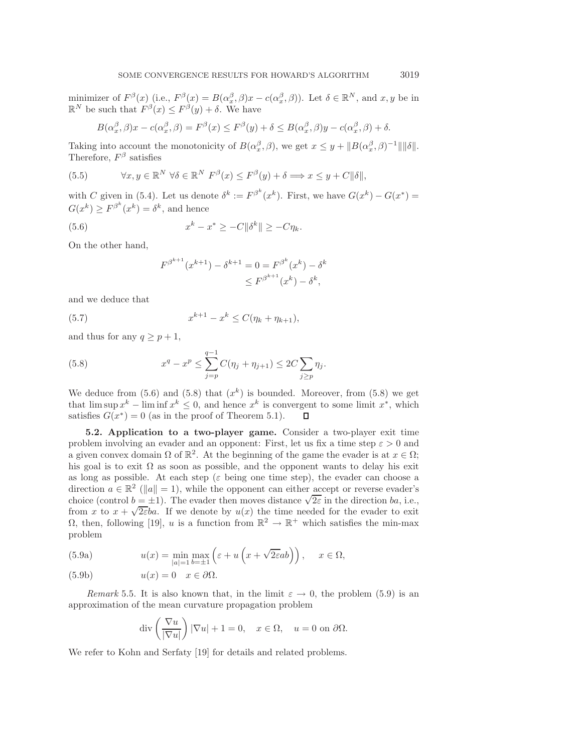minimizer of  $F^{\beta}(x)$  (i.e.,  $F^{\beta}(x) = B(\alpha_x^{\beta}, \beta)x - c(\alpha_x^{\beta}, \beta)$ ). Let  $\delta \in \mathbb{R}^N$ , and  $x, y$  be in  $\mathbb{R}^N$  be such that  $F^{\beta}(x) \leq F^{\beta}(y) + \delta$ . We have

$$
B(\alpha_x^{\beta}, \beta)x - c(\alpha_x^{\beta}, \beta) = F^{\beta}(x) \le F^{\beta}(y) + \delta \le B(\alpha_x^{\beta}, \beta)y - c(\alpha_x^{\beta}, \beta) + \delta.
$$

Taking into account the monotonicity of  $B(\alpha_x^{\beta}, \beta)$ , we get  $x \leq y + ||B(\alpha_x^{\beta}, \beta)^{-1}|| ||\delta||$ . Therefore,  $F^{\beta}$  satisfies

(5.5) 
$$
\forall x, y \in \mathbb{R}^N \ \forall \delta \in \mathbb{R}^N \ F^{\beta}(x) \leq F^{\beta}(y) + \delta \Longrightarrow x \leq y + C \|\delta\|,
$$

with C given in (5.4). Let us denote  $\delta^k := F^{\beta^k}(x^k)$ . First, we have  $G(x^k) - G(x^*) =$  $G(x^k) \geq F^{\beta^k}(x^k) = \delta^k$ , and hence

(5.6) 
$$
x^k - x^* \ge -C \|\delta^k\| \ge -C\eta_k.
$$

On the other hand,

$$
F^{\beta^{k+1}}(x^{k+1}) - \delta^{k+1} = 0 = F^{\beta^k}(x^k) - \delta^k
$$
  

$$
\leq F^{\beta^{k+1}}(x^k) - \delta^k,
$$

and we deduce that

(5.7) 
$$
x^{k+1} - x^k \le C(\eta_k + \eta_{k+1}),
$$

and thus for any  $q \geq p+1$ ,

(5.8) 
$$
x^{q} - x^{p} \leq \sum_{j=p}^{q-1} C(\eta_{j} + \eta_{j+1}) \leq 2C \sum_{j \geq p} \eta_{j}.
$$

We deduce from  $(5.6)$  and  $(5.8)$  that  $(x^k)$  is bounded. Moreover, from  $(5.8)$  we get that lim sup  $x^k$  – lim inf  $x^k \leq 0$ , and hence  $x^k$  is convergent to some limit  $x^*$ , which satisfies  $G(x^*) = 0$  (as in the proof of Theorem 5.1).  $\Box$ 

**5.2. Application to a two-player game.** Consider a two-player exit time problem involving an evader and an opponent: First, let us fix a time step  $\varepsilon > 0$  and a given convex domain  $\Omega$  of  $\mathbb{R}^2$ . At the beginning of the game the evader is at  $x \in \Omega$ ; his goal is to exit  $\Omega$  as soon as possible, and the opponent wants to delay his exit as long as possible. At each step ( $\varepsilon$  being one time step), the evader can choose a direction  $a \in \mathbb{R}^2$  ( $||a|| = 1$ ), while the opponent can either accept or reverse evader's choice (control  $b = \pm 1$ ). The evader then moves distance  $\sqrt{2\varepsilon}$  in the direction ba, i.e., choice (control  $b = \pm 1$ ). The evader then moves distance  $\sqrt{2\varepsilon}$  in the direction *od*, i.e., from x to  $x + \sqrt{2\varepsilon}ba$ . If we denote by  $u(x)$  the time needed for the evader to exit  $\Omega$ , then, following [19], u is a function from  $\mathbb{R}^2 \to \mathbb{R}^+$  which satisfies the min-max problem

(5.9a) 
$$
u(x) = \min_{|a|=1} \max_{b=\pm 1} \left( \varepsilon + u \left( x + \sqrt{2\varepsilon} ab \right) \right), \quad x \in \Omega,
$$

(5.9b) 
$$
u(x) = 0 \quad x \in \partial \Omega.
$$

*Remark* 5.5. It is also known that, in the limit  $\varepsilon \to 0$ , the problem (5.9) is an approximation of the mean curvature propagation problem

$$
\operatorname{div}\left(\frac{\nabla u}{|\nabla u|}\right)|\nabla u| + 1 = 0, \quad x \in \Omega, \quad u = 0 \text{ on } \partial\Omega.
$$

We refer to Kohn and Serfaty [19] for details and related problems.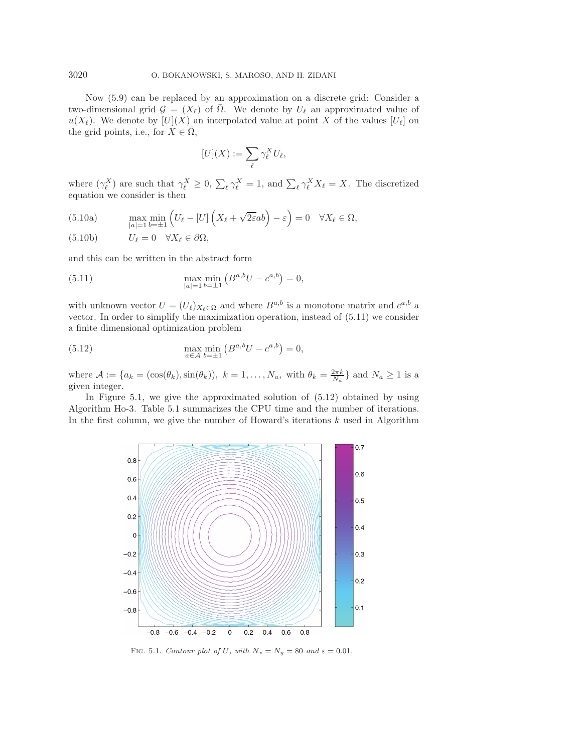Now (5.9) can be replaced by an approximation on a discrete grid: Consider a two-dimensional grid  $\mathcal{G} = (X_{\ell})$  of  $\overline{\Omega}$ . We denote by  $U_{\ell}$  an approximated value of  $u(X_{\ell})$ . We denote by  $[U](X)$  an interpolated value at point X of the values  $[U_{\ell}]$  on the grid points, i.e., for  $X \in \Omega$ ,

$$
[U](X) := \sum_{\ell} \gamma_{\ell}^{X} U_{\ell},
$$

where  $(\gamma_{\ell}^{X})$  are such that  $\gamma_{\ell}^{X} \geq 0$ ,  $\sum_{\ell} \gamma_{\ell}^{X} = 1$ , and  $\sum_{\ell} \gamma_{\ell}^{X} X_{\ell} = X$ . The discretized equation we consider is then

(5.10a) 
$$
\max_{|a|=1} \min_{b=\pm 1} \left( U_{\ell} - [U] \left( X_{\ell} + \sqrt{2\varepsilon}ab \right) - \varepsilon \right) = 0 \quad \forall X_{\ell} \in \Omega,
$$

(5.10b) 
$$
U_{\ell} = 0 \quad \forall X_{\ell} \in \partial \Omega,
$$

and this can be written in the abstract form

(5.11) 
$$
\max_{|a|=1} \min_{b=\pm 1} \left( B^{a,b} U - c^{a,b} \right) = 0,
$$

with unknown vector  $U = (U_{\ell})_{X_{\ell} \in \Omega}$  and where  $B^{a,b}$  is a monotone matrix and  $c^{a,b}$  a vector. In order to simplify the maximization operation, instead of (5.11) we consider a finite dimensional optimization problem

(5.12) 
$$
\max_{a \in \mathcal{A}} \min_{b=\pm 1} (B^{a,b}U - c^{a,b}) = 0,
$$

where  $\mathcal{A} := \{a_k = (\cos(\theta_k), \sin(\theta_k)), k = 1, \ldots, N_a, \text{ with } \theta_k = \frac{2\pi k}{N_a}\}\$ and  $N_a \ge 1$  is a given integer.

In Figure 5.1, we give the approximated solution of (5.12) obtained by using Algorithm Ho-3. Table 5.1 summarizes the CPU time and the number of iterations. In the first column, we give the number of Howard's iterations  $k$  used in Algorithm



FIG. 5.1. Contour plot of U, with  $N_x = N_y = 80$  and  $\varepsilon = 0.01$ .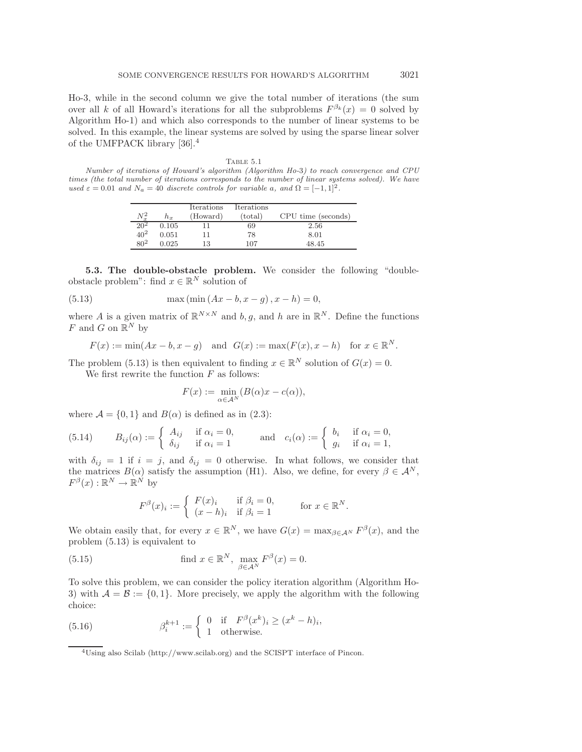Ho-3, while in the second column we give the total number of iterations (the sum over all k of all Howard's iterations for all the subproblems  $F^{\beta_k}(x) = 0$  solved by Algorithm Ho-1) and which also corresponds to the number of linear systems to be solved. In this example, the linear systems are solved by using the sparse linear solver of the UMFPACK library [36].<sup>4</sup>

TABLE  $5.1$ Number of iterations of Howard's algorithm (Algorithm Ho-3) to reach convergence and CPU times (the total number of iterations corresponds to the number of linear systems solved). We have used  $\varepsilon = 0.01$  and  $N_a = 40$  discrete controls for variable a, and  $\Omega = [-1, 1]^2$ .

|          |       | <b>Iterations</b> | Iterations       |                    |
|----------|-------|-------------------|------------------|--------------------|
| $N_r^2$  | $h_x$ | (Howard)          | $_{\rm (total)}$ | CPU time (seconds) |
| $20^{2}$ | 0.105 |                   | 69               | 2.56               |
| $40^{2}$ | 0.051 |                   | 78               | 8.01               |
| $80^{2}$ | 0.025 | 13                | 107              | 48.45              |

**5.3. The double-obstacle problem.** We consider the following "doubleobstacle problem": find  $x \in \mathbb{R}^N$  solution of

(5.13) 
$$
\max(\min(Ax - b, x - g), x - h) = 0,
$$

where A is a given matrix of  $\mathbb{R}^{N \times N}$  and b, g, and h are in  $\mathbb{R}^{N}$ . Define the functions F and G on  $\mathbb{R}^N$  by

$$
F(x) := \min(Ax - b, x - g) \quad \text{and} \quad G(x) := \max(F(x), x - h) \quad \text{for } x \in \mathbb{R}^N.
$$

The problem (5.13) is then equivalent to finding  $x \in \mathbb{R}^N$  solution of  $G(x) = 0$ . We first rewrite the function  $F$  as follows:

$$
F(x) := \min_{\alpha \in \mathcal{A}^N} (B(\alpha)x - c(\alpha)),
$$

where  $\mathcal{A} = \{0, 1\}$  and  $B(\alpha)$  is defined as in (2.3):

(5.14) 
$$
B_{ij}(\alpha) := \begin{cases} A_{ij} & \text{if } \alpha_i = 0, \\ \delta_{ij} & \text{if } \alpha_i = 1 \end{cases} \text{ and } c_i(\alpha) := \begin{cases} b_i & \text{if } \alpha_i = 0, \\ g_i & \text{if } \alpha_i = 1, \end{cases}
$$

with  $\delta_{ij} = 1$  if  $i = j$ , and  $\delta_{ij} = 0$  otherwise. In what follows, we consider that the matrices  $B(\alpha)$  satisfy the assumption (H1). Also, we define, for every  $\beta \in \mathcal{A}^N$ ,  $F^{\beta}(x): \mathbb{R}^N \to \mathbb{R}^N$  by

$$
F^{\beta}(x)_{i} := \begin{cases} F(x)_{i} & \text{if } \beta_{i} = 0, \\ (x - h)_{i} & \text{if } \beta_{i} = 1 \end{cases}
$$
 for  $x \in \mathbb{R}^{N}$ .

We obtain easily that, for every  $x \in \mathbb{R}^N$ , we have  $G(x) = \max_{\beta \in A^N} F^{\beta}(x)$ , and the problem (5.13) is equivalent to

(5.15) find 
$$
x \in \mathbb{R}^N
$$
,  $\max_{\beta \in \mathcal{A}^N} F^{\beta}(x) = 0$ .

To solve this problem, we can consider the policy iteration algorithm (Algorithm Ho-3) with  $A = \mathcal{B} := \{0, 1\}$ . More precisely, we apply the algorithm with the following choice:

(5.16) 
$$
\beta_i^{k+1} := \begin{cases} 0 & \text{if } F^{\beta}(x^k)_i \ge (x^k - h)_i, \\ 1 & \text{otherwise.} \end{cases}
$$

<sup>4</sup>Using also Scilab (http://www.scilab.org) and the SCISPT interface of Pincon.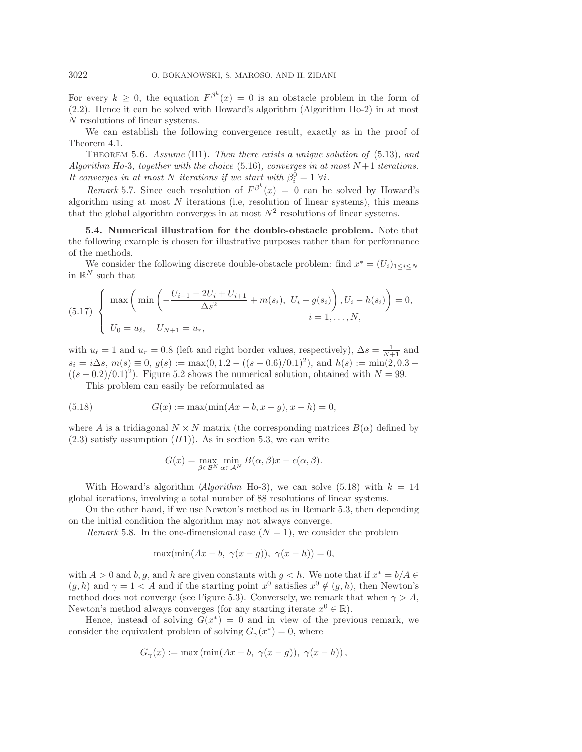For every  $k \geq 0$ , the equation  $F^{\beta^k}(x) = 0$  is an obstacle problem in the form of (2.2). Hence it can be solved with Howard's algorithm (Algorithm Ho-2) in at most N resolutions of linear systems.

We can establish the following convergence result, exactly as in the proof of Theorem 4.1.

Theorem 5.6. *Assume* (H1)*. Then there exists a unique solution of* (5.13)*, and Algorithm Ho-3, together with the choice* (5.16)*, converges in at most*  $N+1$  *iterations. It converges in at most* N *iterations if we start with*  $\beta_i^0 = 1 \ \forall i$ .

*Remark* 5.7. Since each resolution of  $F^{\beta^k}(x) = 0$  can be solved by Howard's algorithm using at most  $N$  iterations (i.e, resolution of linear systems), this means that the global algorithm converges in at most  $N^2$  resolutions of linear systems.

**5.4. Numerical illustration for the double-obstacle problem.** Note that the following example is chosen for illustrative purposes rather than for performance of the methods.

We consider the following discrete double-obstacle problem: find  $x^* = (U_i)_{1 \leq i \leq N}$ in  $\mathbb{R}^N$  such that

(5.17) 
$$
\begin{cases} \max \left( \min \left( -\frac{U_{i-1} - 2U_i + U_{i+1}}{\Delta s^2} + m(s_i), U_i - g(s_i) \right), U_i - h(s_i) \right) = 0, \\ U_0 = u_\ell, U_{N+1} = u_r, \end{cases}
$$

with  $u_{\ell} = 1$  and  $u_r = 0.8$  (left and right border values, respectively),  $\Delta s = \frac{1}{N+1}$  and  $s_i = i\Delta s, m(s) \equiv 0, q(s) := \max(0, 1.2 - ((s - 0.6)/0.1)^2)$ , and  $h(s) := \min(2, 0.3 +$  $((s-0.2)/0.1)^2$ . Figure 5.2 shows the numerical solution, obtained with  $N=99$ .

This problem can easily be reformulated as

(5.18) 
$$
G(x) := \max(\min(Ax - b, x - g), x - h) = 0,
$$

where A is a tridiagonal  $N \times N$  matrix (the corresponding matrices  $B(\alpha)$  defined by  $(2.3)$  satisfy assumption  $(H1)$ ). As in section 5.3, we can write

$$
G(x) = \max_{\beta \in \mathcal{B}^N} \min_{\alpha \in \mathcal{A}^N} B(\alpha, \beta)x - c(\alpha, \beta).
$$

With Howard's algorithm (*Algorithm* Ho-3), we can solve (5.18) with  $k = 14$ global iterations, involving a total number of 88 resolutions of linear systems.

On the other hand, if we use Newton's method as in Remark 5.3, then depending on the initial condition the algorithm may not always converge.

*Remark* 5.8. In the one-dimensional case  $(N = 1)$ , we consider the problem

$$
\max(\min(Ax - b, \ \gamma(x - g)), \ \gamma(x - h)) = 0,
$$

with  $A > 0$  and  $b, g$ , and h are given constants with  $g < h$ . We note that if  $x^* = b/A \in$  $(q, h)$  and  $\gamma = 1 < A$  and if the starting point  $x^0$  satisfies  $x^0 \notin (q, h)$ , then Newton's method does not converge (see Figure 5.3). Conversely, we remark that when  $\gamma > A$ , Newton's method always converges (for any starting iterate  $x^0 \in \mathbb{R}$ ).

Hence, instead of solving  $G(x^*) = 0$  and in view of the previous remark, we consider the equivalent problem of solving  $G_{\gamma}(x^*) = 0$ , where

$$
G_{\gamma}(x) := \max\left(\min(Ax - b, \ \gamma(x - g)), \ \gamma(x - h)\right),\,
$$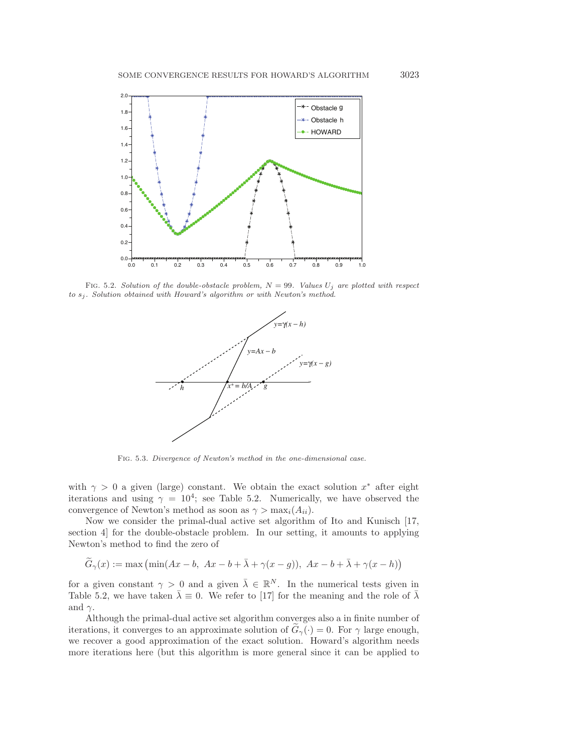

FIG. 5.2. Solution of the double-obstacle problem,  $N = 99$ . Values  $U_j$  are plotted with respect to  $s_i$ . Solution obtained with Howard's algorithm or with Newton's method.



Fig. 5.3. Divergence of Newton's method in the one-dimensional case.

with  $\gamma > 0$  a given (large) constant. We obtain the exact solution  $x^*$  after eight iterations and using  $\gamma = 10^4$ ; see Table 5.2. Numerically, we have observed the convergence of Newton's method as soon as  $\gamma > \max_i(A_{ii})$ .

Now we consider the primal-dual active set algorithm of Ito and Kunisch [17, section 4] for the double-obstacle problem. In our setting, it amounts to applying Newton's method to find the zero of

$$
\widetilde{G}_{\gamma}(x) := \max\left(\min(Ax - b, Ax - b + \bar{\lambda} + \gamma(x - g)), Ax - b + \bar{\lambda} + \gamma(x - h)\right)
$$

for a given constant  $\gamma > 0$  and a given  $\bar{\lambda} \in \mathbb{R}^N$ . In the numerical tests given in Table 5.2, we have taken  $\bar{\lambda} \equiv 0$ . We refer to [17] for the meaning and the role of  $\bar{\lambda}$ and  $\gamma$ .

Although the primal-dual active set algorithm converges also a in finite number of iterations, it converges to an approximate solution of  $G_{\gamma}(\cdot) = 0$ . For  $\gamma$  large enough, we recover a good approximation of the exact solution. Howard's algorithm needs more iterations here (but this algorithm is more general since it can be applied to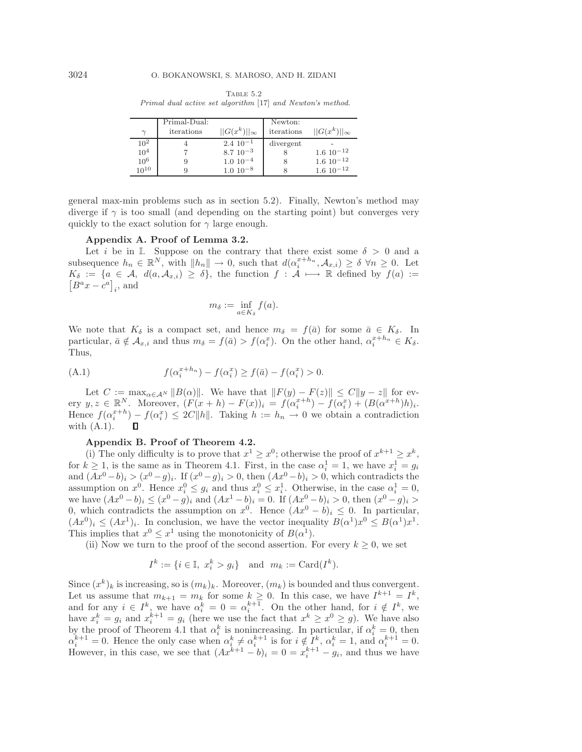Table 5.2 Primal dual active set algorithm [17] and Newton's method.

| $\gamma$        | Primal-Dual:<br>iterations | $  G(x^k)  _{\infty}$ | Newton:<br>iterations | $  G(x^k)  _{\infty}$ |
|-----------------|----------------------------|-----------------------|-----------------------|-----------------------|
| $10^{2}$        |                            | $2.4~10^{-1}$         | divergent             |                       |
| 10 <sup>4</sup> |                            | $8.7 \; 10^{-3}$      |                       | $1.6 \; 10^{-12}$     |
| $10^{6}$        | 9                          | $1.010^{-4}$          |                       | $1.6 \; 10^{-12}$     |
| $10^{10}$       |                            | $1.010^{-8}$          |                       | $1.6 \; 10^{-12}$     |

general max-min problems such as in section 5.2). Finally, Newton's method may diverge if  $\gamma$  is too small (and depending on the starting point) but converges very quickly to the exact solution for  $\gamma$  large enough.

## **Appendix A. Proof of Lemma 3.2.**

Let i be in I. Suppose on the contrary that there exist some  $\delta > 0$  and a subsequence  $h_n \in \mathbb{R}^N$ , with  $||h_n|| \to 0$ , such that  $d(\alpha_i^{x+h_n}, \mathcal{A}_{x,i}) \geq \delta \ \forall n \geq 0$ . Let  $[B^a x - \dot{c}^a]_i$ , and  $K_{\delta} := \{a \in \mathcal{A}, d(a, \mathcal{A}_{x,i}) \geq \delta\},\$  the function  $f : \mathcal{A} \longmapsto \mathbb{R}$  defined by  $f(a) :=$ 

$$
m_{\delta} := \inf_{a \in K_{\delta}} f(a).
$$

We note that  $K_{\delta}$  is a compact set, and hence  $m_{\delta} = f(\bar{a})$  for some  $\bar{a} \in K_{\delta}$ . In particular,  $\bar{a} \notin \mathcal{A}_{x,i}$  and thus  $m_{\delta} = f(\bar{a}) > f(\alpha_i^x)$ . On the other hand,  $\alpha_i^{x+h_n} \in K_{\delta}$ . Thus,

(A.1) 
$$
f(\alpha_i^{x+h_n}) - f(\alpha_i^x) \ge f(\bar{a}) - f(\alpha_i^x) > 0.
$$

Let  $C := \max_{\alpha \in A^N} ||B(\alpha)||$ . We have that  $||F(y) - F(z)|| \le C||y - z||$  for every  $y, z \in \mathbb{R}^N$ . Moreover,  $(F(x+h) - F(x))_i = f(\alpha_i^{x+h}) - f(\alpha_i^{x}) + (B(\alpha^{x+h})h)_i$ . Hence  $f(\alpha_i^{x+h}) - f(\alpha_i^x) \le 2C||h||$ . Taking  $h := h_n \to 0$  we obtain a contradiction with  $(A.1)$ .

## **Appendix B. Proof of Theorem 4.2.**

(i) The only difficulty is to prove that  $x^1 \geq x^0$ ; otherwise the proof of  $x^{k+1} \geq x^k$ , for  $k \ge 1$ , is the same as in Theorem 4.1. First, in the case  $\alpha_i^1 = 1$ , we have  $x_i^1 = g_i$ and  $(Ax^{0}-b)_{i} > (x^{0}-g)_{i}$ . If  $(x^{0}-g)_{i} > 0$ , then  $(Ax^{0}-b)_{i} > 0$ , which contradicts the assumption on  $x^0$ . Hence  $x_i^0 \leq g_i$  and thus  $x_i^0 \leq x_i^1$ . Otherwise, in the case  $\alpha_i^1 = 0$ , we have  $(Ax^0 - b)_i \leq (x^0 - g)_i$  and  $(Ax^1 - b)_i = 0$ . If  $(Ax^0 - b)_i > 0$ , then  $(x^0 - g)_i >$ 0, which contradicts the assumption on  $x^0$ . Hence  $(Ax^0 - b)_i \leq 0$ . In particular,  $(Ax^{0})_{i} \leq (Ax^{1})_{i}$ . In conclusion, we have the vector inequality  $B(\alpha^{1})x^{0} \leq B(\alpha^{1})x^{1}$ . This implies that  $x^0 \leq x^1$  using the monotonicity of  $B(\alpha^1)$ .

(ii) Now we turn to the proof of the second assertion. For every  $k \geq 0$ , we set

$$
I^k := \{ i \in \mathbb{I}, \ x_i^k > g_i \} \quad \text{and} \quad m_k := \text{Card}(I^k).
$$

Since  $(x^k)_k$  is increasing, so is  $(m_k)_k$ . Moreover,  $(m_k)$  is bounded and thus convergent. Let us assume that  $m_{k+1} = m_k$  for some  $k \geq 0$ . In this case, we have  $I^{k+1} = I^k$ , and for any  $i \in I^k$ , we have  $\alpha_i^k = 0 = \alpha_i^{k+1}$ . On the other hand, for  $i \notin I^k$ , we have  $x_i^k = g_i$  and  $x_i^{k+1} = g_i$  (here we use the fact that  $x^k \geq x^0 \geq g$ ). We have also by the proof of Theorem 4.1 that  $\alpha_i^k$  is nonincreasing. In particular, if  $\alpha_i^k = 0$ , then  $\alpha_i^{k+1} = 0$ . Hence the only case when  $\alpha_i^k \neq \alpha_i^{k+1}$  is for  $i \notin I^k$ ,  $\alpha_i^k = 1$ , and  $\alpha_i^{k+1} = 0$ . However, in this case, we see that  $(Ax^{k+1} - b)_i = 0 = x_i^{k+1} - g_i$ , and thus we have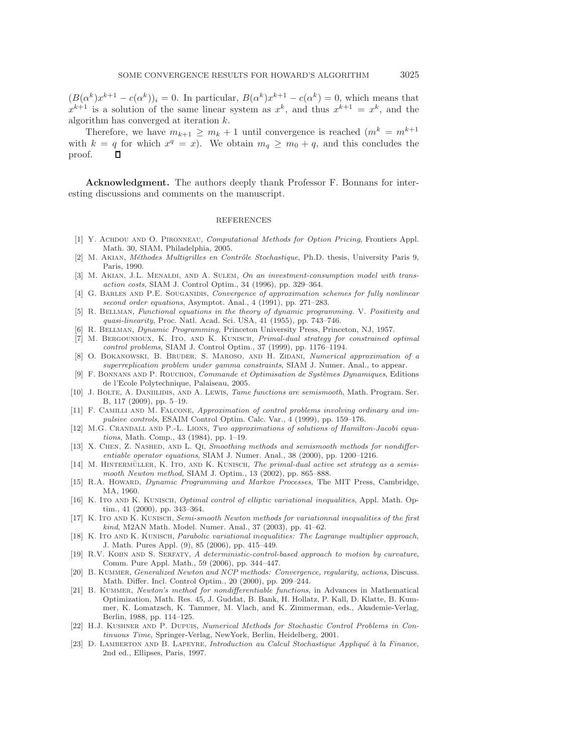$(B(\alpha^k)x^{k+1} - c(\alpha^k))_i = 0$ . In particular,  $B(\alpha^k)x^{k+1} - c(\alpha^k) = 0$ , which means that  $x^{k+1}$  is a solution of the same linear system as  $x^k$ , and thus  $x^{k+1} = x^k$ , and the algorithm has converged at iteration k.

Therefore, we have  $m_{k+1} \geq m_k + 1$  until convergence is reached  $(m^k = m^{k+1})$ with  $k = q$  for which  $x^q = x$ ). We obtain  $m_q \geq m_0 + q$ , and this concludes the proof.

**Acknowledgment.** The authors deeply thank Professor F. Bonnans for interesting discussions and comments on the manuscript.

#### REFERENCES

- [1] Y. ACHDOU AND O. PIRONNEAU, Computational Methods for Option Pricing, Frontiers Appl. Math. 30, SIAM, Philadelphia, 2005.
- [2] M. AKIAN, *Méthodes Multigrilles en Contrôle Stochastique*, Ph.D. thesis, University Paris 9, Paris, 1990.
- [3] M. AKIAN, J.L. MENALDI, AND A. SULEM, On an investment-consumption model with transaction costs, SIAM J. Control Optim., 34 (1996), pp. 329–364.
- [4] G. BARLES AND P.E. SOUGANIDIS, Convergence of approximation schemes for fully nonlinear second order equations, Asymptot. Anal., 4 (1991), pp. 271–283.
- [5] R. BELLMAN, Functional equations in the theory of dynamic programming. V. Positivity and quasi-linearity, Proc. Natl. Acad. Sci. USA, 41 (1955), pp. 743–746.
- [6] R. Bellman, Dynamic Programming, Princeton University Press, Princeton, NJ, 1957.
- [7] M. Bergounioux, K. Ito, and K. Kunisch, Primal-dual strategy for constrained optimal control problems, SIAM J. Control Optim., 37 (1999), pp. 1176–1194.
- [8] O. BOKANOWSKI, B. BRUDER, S. MAROSO, AND H. ZIDANI, Numerical approximation of a superreplication problem under gamma constraints, SIAM J. Numer. Anal., to appear.
- [9] F. BONNANS AND P. ROUCHON, Commande et Optimisation de Systèmes Dynamiques, Editions de l'Ecole Polytechnique, Palaiseau, 2005.
- [10] J. BOLTE, A. DANIILIDIS, AND A. LEWIS, Tame functions are semismooth, Math. Program. Ser. B, 117 (2009), pp. 5–19.
- [11] F. CAMILLI AND M. FALCONE, Approximation of control problems involving ordinary and impulsive controls, ESAIM Control Optim. Calc. Var., 4 (1999), pp. 159–176.
- [12] M.G. Crandall and P.-L. Lions, Two approximations of solutions of Hamilton-Jacobi equations, Math. Comp., 43 (1984), pp. 1–19.
- [13] X. CHEN, Z. NASHED, AND L. QI, Smoothing methods and semismooth methods for nondifferentiable operator equations, SIAM J. Numer. Anal., 38 (2000), pp. 1200–1216.
- [14] M. HINTERMÜLLER, K. ITO, AND K. KUNISCH, The primal-dual active set strategy as a semismooth Newton method, SIAM J. Optim., 13 (2002), pp. 865–888.
- [15] R.A. Howard, Dynamic Programming and Markov Processes, The MIT Press, Cambridge, MA, 1960.
- [16] K. Ito and K. Kunisch, *Optimal control of elliptic variational inequalities*, Appl. Math. Optim., 41 (2000), pp. 343–364.
- [17] K. Ito AND K. KUNISCH, Semi-smooth Newton methods for variationnal inequalities of the first kind, M2AN Math. Model. Numer. Anal., 37 (2003), pp. 41–62.
- [18] K. ITO AND K. KUNISCH, Parabolic variational inequalities: The Lagrange multiplier approach, J. Math. Pures Appl. (9), 85 (2006), pp. 415–449.
- [19] R.V. KOHN AND S. SERFATY, A deterministic-control-based approach to motion by curvature, Comm. Pure Appl. Math., 59 (2006), pp. 344–447.
- [20] B. KUMMER, Generalized Newton and NCP methods: Convergence, regularity, actions, Discuss. Math. Differ. Incl. Control Optim., 20 (2000), pp. 209–244.
- [21] B. KUMMER, Newton's method for nondifferentiable functions, in Advances in Mathematical Optimization, Math. Res. 45, J. Guddat, B. Bank, H. Hollatz, P. Kall, D. Klatte, B. Kummer, K. Lomatzsch, K. Tammer, M. Vlach, and K. Zimmerman, eds., Akademie-Verlag, Berlin, 1988, pp. 114–125.
- [22] H.J. Kushner and P. Dupuis, Numerical Methods for Stochastic Control Problems in Continuous Time, Springer-Verlag, NewYork, Berlin, Heidelberg, 2001.
- [23] D. LAMBERTON AND B. LAPEYRE, Introduction au Calcul Stochastique Appliqué à la Finance, 2nd ed., Ellipses, Paris, 1997.